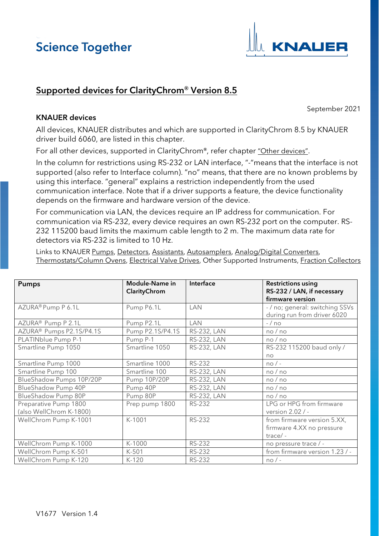

#### Supported devices for ClarityChrom**®** Version 8.5

September 2021

#### <span id="page-0-1"></span>KNAUER devices

All devices, KNAUER distributes and which are supported in ClarityChrom 8.5 by KNAUER driver build 6060, are listed in this chapter.

For all other devices, supported in ClarityChrom**®**, refer chapter ["Other devices".](#page-6-0)

In the column for restrictions using RS-232 or LAN interface, "-"means that the interface is not supported (also refer to Interface column). "no" means, that there are no known problems by using this interface. "general" explains a restriction independently from the used communication interface. Note that if a driver supports a feature, the device functionality depends on the firmware and hardware version of the device.

For communication via LAN, the devices require an IP address for communication. For communication via RS-232, every device requires an own RS-232 port on the computer. RS-232 115200 baud limits the maximum cable length to 2 m. The maximum data rate for detectors via RS-232 is limited to 10 Hz.

Links to KNAUER [Pumps,](#page-0-0) [Detectors,](#page-1-0) [Assistants](#page-3-0)[, Autosamplers,](#page-3-1) [Analog/Digital Converters,](#page-4-0) [Thermostats/Column Ovens,](#page-5-0) [Electrical Valve Drives,](#page-5-1) Other [Supported Instruments,](#page-5-2) [Fraction Collectors](#page-6-1)

<span id="page-0-0"></span>

| <b>Pumps</b>                                     | Module-Name in<br><b>Clarity Chrom</b> | Interface          | <b>Restrictions using</b><br>RS-232 / LAN, if necessary<br>firmware version |
|--------------------------------------------------|----------------------------------------|--------------------|-----------------------------------------------------------------------------|
| AZURA® Pump P 6.1L                               | Pump P6.1L                             | LAN                | - / no; general: switching SSVs<br>during run from driver 6020              |
| AZURA <sup>®</sup> Pump P 2.1L                   | Pump P2.1L                             | <b>LAN</b>         | $-$ / no                                                                    |
| AZURA <sup>®</sup> Pumps P2.1S/P4.1S             | Pump P2.1S/P4.1S                       | <b>RS-232, LAN</b> | no/no                                                                       |
| PLATINblue Pump P-1                              | Pump P-1                               | <b>RS-232, LAN</b> | no/no                                                                       |
| Smartline Pump 1050                              | Smartline 1050                         | <b>RS-232, LAN</b> | RS-232 115200 baud only /<br>n <sub>O</sub>                                 |
| Smartline Pump 1000                              | Smartline 1000                         | RS-232             | $no/-$                                                                      |
| Smartline Pump 100                               | Smartline 100                          | <b>RS-232, LAN</b> | no/no                                                                       |
| BlueShadow Pumps 10P/20P                         | Pump 10P/20P                           | <b>RS-232, LAN</b> | no/no                                                                       |
| BlueShadow Pump 40P                              | Pump 40P                               | RS-232, LAN        | no/no                                                                       |
| BlueShadow Pump 80P                              | Pump 80P                               | RS-232, LAN        | no/no                                                                       |
| Preparative Pump 1800<br>(also WellChrom K-1800) | Prep pump 1800                         | RS-232             | LPG or HPG from firmware<br>version 2.02 / -                                |
| WellChrom Pump K-1001                            | K-1001                                 | <b>RS-232</b>      | from firmware version 5.XX,<br>firmware 4.XX no pressure<br>$trace/-$       |
| WellChrom Pump K-1000                            | K-1000                                 | RS-232             | no pressure trace / -                                                       |
| WellChrom Pump K-501                             | K-501                                  | <b>RS-232</b>      | from firmware version 1.23 / -                                              |
| WellChrom Pump K-120                             | $K-120$                                | RS-232             | $no/-$                                                                      |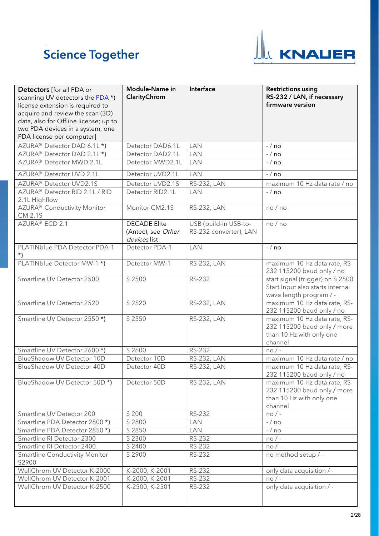

<span id="page-1-0"></span>

| Detectors [for all PDA or<br>scanning UV detectors the PDA*)<br>license extension is required to<br>acquire and review the scan (3D)<br>data, also for Offline license; up to<br>two PDA devices in a system, one<br>PDA license per computer] | Module-Name in<br>ClarityChrom                            | Interface                                       | <b>Restrictions using</b><br>RS-232 / LAN, if necessary<br>firmware version                        |
|------------------------------------------------------------------------------------------------------------------------------------------------------------------------------------------------------------------------------------------------|-----------------------------------------------------------|-------------------------------------------------|----------------------------------------------------------------------------------------------------|
| AZURA® Detector DAD 6.1L*)                                                                                                                                                                                                                     | Detector DAD6.1L                                          | <b>LAN</b>                                      | $-$ / no                                                                                           |
| AZURA <sup>®</sup> Detector DAD 2.1L *)                                                                                                                                                                                                        | Detector DAD2.1L                                          | <b>LAN</b>                                      | $-$ / no                                                                                           |
| AZURA <sup>®</sup> Detector MWD 2.1L                                                                                                                                                                                                           | Detector MWD2.1L                                          | <b>LAN</b>                                      | $-$ / no                                                                                           |
| AZURA® Detector UVD 2.1L                                                                                                                                                                                                                       | Detector UVD2.1L                                          | <b>LAN</b>                                      | $-$ / no                                                                                           |
| AZURA® Detector UVD2.1S                                                                                                                                                                                                                        | Detector UVD2.1S                                          | <b>RS-232, LAN</b>                              | maximum 10 Hz data rate / no                                                                       |
| AZURA <sup>®</sup> Detector RID 2.1L / RID<br>2.1L Highflow                                                                                                                                                                                    | Detector RID2.1L                                          | LAN                                             | $-$ / no                                                                                           |
| AZURA® Conductivity Monitor<br><b>CM 2.1S</b>                                                                                                                                                                                                  | Monitor CM2.1S                                            | RS-232, LAN                                     | no / no                                                                                            |
| AZURA® ECD 2.1                                                                                                                                                                                                                                 | <b>DECADE Elite</b><br>(Antec), see Other<br>devices list | USB (build-in USB-to-<br>RS-232 converter), LAN | no / no                                                                                            |
| PLATINblue PDA Detector PDA-1<br>$\star$                                                                                                                                                                                                       | Detector PDA-1                                            | <b>LAN</b>                                      | $-$ / no                                                                                           |
| PLATINblue Detector MW-1*)                                                                                                                                                                                                                     | Detector MW-1                                             | RS-232, LAN                                     | maximum 10 Hz data rate, RS-<br>232 115200 baud only / no                                          |
| Smartline UV Detector 2500                                                                                                                                                                                                                     | S 2500                                                    | <b>RS-232</b>                                   | start signal (trigger) on S 2500<br>Start Input also starts internal<br>wave length program / -    |
| Smartline UV Detector 2520                                                                                                                                                                                                                     | S 2520                                                    | RS-232, LAN                                     | maximum 10 Hz data rate, RS-<br>232 115200 baud only / no                                          |
| Smartline UV Detector 2550*)                                                                                                                                                                                                                   | S 2550                                                    | <b>RS-232, LAN</b>                              | maximum 10 Hz data rate, RS-<br>232 115200 baud only / more<br>than 10 Hz with only one<br>channel |
| Smartline UV Detector 2600*)                                                                                                                                                                                                                   | S 2600                                                    | RS-232                                          | $no/$ -                                                                                            |
| BlueShadow UV Detector 10D                                                                                                                                                                                                                     | Detector 10D                                              | RS-232, LAN                                     | maximum 10 Hz data rate / no                                                                       |
| BlueShadow UV Detector 40D                                                                                                                                                                                                                     | Detector 40D                                              | <b>RS-232, LAN</b>                              | maximum 10 Hz data rate, RS-<br>232 115200 baud only / no                                          |
| BlueShadow UV Detector 50D*)                                                                                                                                                                                                                   | Detector 50D                                              | <b>RS-232, LAN</b>                              | maximum 10 Hz data rate, RS-<br>232 115200 baud only / more<br>than 10 Hz with only one<br>channel |
| Smartline UV Detector 200                                                                                                                                                                                                                      | S 200                                                     | RS-232                                          | $no/$ -                                                                                            |
| Smartline PDA Detector 2800*)                                                                                                                                                                                                                  | S 2800                                                    | <b>LAN</b>                                      | $-$ / no                                                                                           |
| Smartline PDA Detector 2850*)                                                                                                                                                                                                                  | S 2850                                                    | <b>LAN</b>                                      | $-$ / no                                                                                           |
| Smartline RI Detector 2300                                                                                                                                                                                                                     | S 2300                                                    | RS-232                                          | $no/-$                                                                                             |
| Smartline RI Detector 2400                                                                                                                                                                                                                     | S 2400                                                    | RS-232                                          | $no/-$                                                                                             |
| Smartline Conductivity Monitor<br>S2900                                                                                                                                                                                                        | S 2900                                                    | RS-232                                          | no method setup / -                                                                                |
| WellChrom UV Detector K-2000                                                                                                                                                                                                                   | K-2000, K-2001                                            | RS-232                                          | only data acquisition / -                                                                          |
| WellChrom UV Detector K-2001                                                                                                                                                                                                                   | K-2000, K-2001                                            | RS-232                                          | $no/$ -                                                                                            |
| WellChrom UV Detector K-2500                                                                                                                                                                                                                   | K-2500, K-2501                                            | RS-232                                          | only data acquisition / -                                                                          |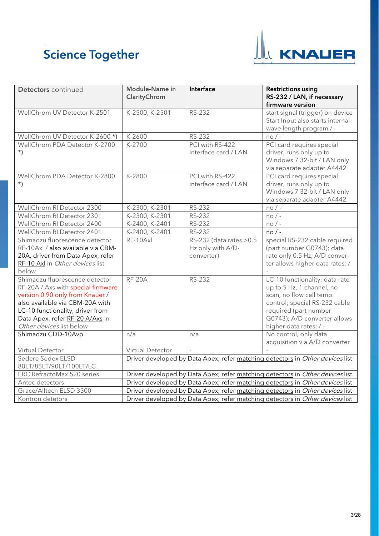

| Detectors continued                                                                                                                                                                                                                           | Module-Name in<br>ClarityChrom | Interface                                                   | <b>Restrictions using</b><br>RS-232 / LAN, if necessary<br>firmware version                                                                                                                                 |
|-----------------------------------------------------------------------------------------------------------------------------------------------------------------------------------------------------------------------------------------------|--------------------------------|-------------------------------------------------------------|-------------------------------------------------------------------------------------------------------------------------------------------------------------------------------------------------------------|
| WellChrom UV Detector K-2501                                                                                                                                                                                                                  | K-2500, K-2501                 | <b>RS-232</b>                                               | start signal (trigger) on device<br>Start Input also starts internal<br>wave length program / -                                                                                                             |
| WellChrom UV Detector K-2600*)                                                                                                                                                                                                                | K-2600                         | <b>RS-232</b>                                               | $no/$ -                                                                                                                                                                                                     |
| WellChrom PDA Detector K-2700<br>$^{\star}$                                                                                                                                                                                                   | K-2700                         | PCI with RS-422<br>interface card / LAN                     | PCI card requires special<br>driver, runs only up to<br>Windows 7 32-bit / LAN only<br>via separate adapter A4442                                                                                           |
| WellChrom PDA Detector K-2800                                                                                                                                                                                                                 | K-2800                         | PCI with RS-422                                             | PCI card requires special                                                                                                                                                                                   |
| $\star$ )                                                                                                                                                                                                                                     |                                | interface card / LAN                                        | driver, runs only up to<br>Windows 7 32-bit / LAN only<br>via separate adapter A4442                                                                                                                        |
| WellChrom RI Detector 2300                                                                                                                                                                                                                    | K-2300, K-2301                 | RS-232                                                      | $no/$ -                                                                                                                                                                                                     |
| WellChrom RI Detector 2301                                                                                                                                                                                                                    | K-2300, K-2301                 | <b>RS-232</b>                                               | $no/-$                                                                                                                                                                                                      |
| WellChrom RI Detector 2400                                                                                                                                                                                                                    | K-2400, K-2401                 | <b>RS-232</b>                                               | $no/$ -                                                                                                                                                                                                     |
| WellChrom RI Detector 2401                                                                                                                                                                                                                    | K-2400, K-2401                 | <b>RS-232</b>                                               | $no/-$                                                                                                                                                                                                      |
| Shimadzu fluorescence detector<br>RF-10Axl / also available via CBM-<br>20A, driver from Data Apex, refer<br>RF-10 Axl in Other devices list<br>below                                                                                         | RF-10Axl                       | RS-232 (data rates > 0.5<br>Hz only with A/D-<br>converter) | special RS-232 cable required<br>(part number G0743); data<br>rate only 0.5 Hz, A/D conver-<br>ter allows higher data rates; /                                                                              |
| Shimadzu fluorescence detector<br>RF-20A / Axs with special firmware<br>version 0.90 only from Knauer /<br>also available via CBM-20A with<br>LC-10 functionality, driver from<br>Data Apex, refer RF-20 A/Axs in<br>Other devices list below | <b>RF-20A</b>                  | <b>RS-232</b>                                               | LC-10 functionality: data rate<br>up to 5 Hz, 1 channel, no<br>scan, no flow cell temp.<br>control; special RS-232 cable<br>required (part number<br>G0743); A/D converter allows<br>higher data rates; / - |
| Shimadzu CDD-10Avp                                                                                                                                                                                                                            | n/a                            | n/a                                                         | No control, only data<br>acquisition via A/D converter                                                                                                                                                      |
| Virtual Detector                                                                                                                                                                                                                              | Virtual Detector               |                                                             |                                                                                                                                                                                                             |
| Sedere Sedex ELSD<br>80LT/85LT/90LT/100LT/LC                                                                                                                                                                                                  |                                |                                                             | Driver developed by Data Apex; refer matching detectors in Other devices list                                                                                                                               |
| ERC RefractoMax 520 series                                                                                                                                                                                                                    |                                |                                                             | Driver developed by Data Apex; refer matching detectors in Other devices list                                                                                                                               |
| Antec detectors                                                                                                                                                                                                                               |                                |                                                             | Driver developed by Data Apex; refer matching detectors in Other devices list                                                                                                                               |
| Grace/Alltech ELSD 3300                                                                                                                                                                                                                       |                                |                                                             | Driver developed by Data Apex; refer matching detectors in Other devices list                                                                                                                               |
| Kontron detetors                                                                                                                                                                                                                              |                                |                                                             | Driver developed by Data Apex; refer matching detectors in Other devices list                                                                                                                               |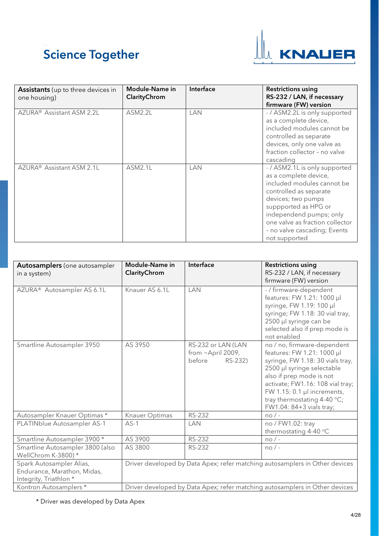

<span id="page-3-0"></span>

| <b>Assistants</b> (up to three devices in<br>one housing) | Module-Name in<br>ClarityChrom | Interface  | <b>Restrictions using</b><br>RS-232 / LAN, if necessary<br>firmware (FW) version                                                                                                                                                                                            |
|-----------------------------------------------------------|--------------------------------|------------|-----------------------------------------------------------------------------------------------------------------------------------------------------------------------------------------------------------------------------------------------------------------------------|
| AZURA <sup>®</sup> Assistant ASM 2.2L                     | <b>ASM2.2L</b>                 | LAN        | - / ASM2.2L is only supported<br>as a complete device,<br>included modules cannot be<br>controlled as separate<br>devices, only one valve as<br>fraction collector - no valve<br>cascading                                                                                  |
| AZURA <sup>®</sup> Assistant ASM 2.1L                     | <b>ASM2.1L</b>                 | <b>LAN</b> | - / ASM2.1L is only supported<br>as a complete device,<br>included modules cannot be<br>controlled as separate<br>devices; two pumps<br>suppported as HPG or<br>independend pumps; only<br>one valve as fraction collector<br>- no valve cascading; Events<br>not supported |

<span id="page-3-1"></span>

| <b>Autosamplers</b> (one autosampler<br>in a system)                              | Module-Name in<br>ClarityChrom | Interface                                                          | <b>Restrictions using</b><br>RS-232 / LAN, if necessary<br>firmware (FW) version                                                                                                                                                                                                        |
|-----------------------------------------------------------------------------------|--------------------------------|--------------------------------------------------------------------|-----------------------------------------------------------------------------------------------------------------------------------------------------------------------------------------------------------------------------------------------------------------------------------------|
| AZURA <sup>®</sup> Autosampler AS 6.1L                                            | Knauer AS 6.1L                 | LAN                                                                | - / firmware-dependent<br>features: FW 1.21: 1000 µl<br>syringe, FW 1.19: 100 µl<br>syringe; FW 1.18: 30 vial tray,<br>2500 µl syringe can be<br>selected also if prep mode is<br>not enabled                                                                                           |
| Smartline Autosampler 3950                                                        | AS 3950                        | RS-232 or LAN (LAN<br>from $\sim$ April 2009,<br>before<br>RS-232) | no / no, firmware-dependent<br>features: FW 1.21: 1000 µl<br>syringe, FW 1.18: 30 vials tray,<br>2500 µl syringe selectable<br>also if prep mode is not<br>activate; FW1.16: 108 vial tray;<br>FW 1.15: 0.1 µl increments,<br>tray thermostating $4-40$ °C;<br>FW1.04: 84+3 vials tray; |
| Autosampler Knauer Optimas*                                                       | Knauer Optimas                 | RS-232                                                             | $no/$ -                                                                                                                                                                                                                                                                                 |
| PLATINblue Autosampler AS-1                                                       | $AS-1$                         | <b>LAN</b>                                                         | no / FW1.02: tray<br>thermostating 4-40 °C                                                                                                                                                                                                                                              |
| Smartline Autosampler 3900 *                                                      | AS 3900                        | <b>RS-232</b>                                                      | $no/-$                                                                                                                                                                                                                                                                                  |
| Smartline Autosampler 3800 (also<br>WellChrom K-3800)*                            | AS 3800                        | <b>RS-232</b>                                                      | $no/$ -                                                                                                                                                                                                                                                                                 |
| Spark Autosampler Alias,<br>Endurance, Marathon, Midas,<br>Integrity, Triathlon * |                                |                                                                    | Driver developed by Data Apex; refer matching autosamplers in Other devices                                                                                                                                                                                                             |
| Kontron Autosamplers *                                                            |                                |                                                                    | Driver developed by Data Apex; refer matching autosamplers in Other devices                                                                                                                                                                                                             |

\* Driver was developed by Data Apex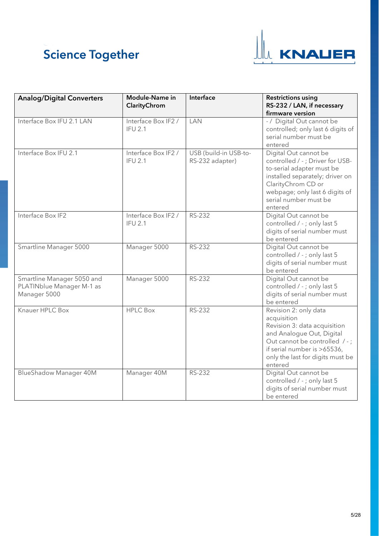

<span id="page-4-0"></span>

| <b>Analog/Digital Converters</b>                                        | <b>Module-Name in</b><br>ClarityChrom | Interface                                | <b>Restrictions using</b><br>RS-232 / LAN, if necessary<br>firmware version                                                                                                                                          |
|-------------------------------------------------------------------------|---------------------------------------|------------------------------------------|----------------------------------------------------------------------------------------------------------------------------------------------------------------------------------------------------------------------|
| Interface Box IFU 2.1 LAN                                               | Interface Box IF2 /<br><b>IFU 2.1</b> | LAN                                      | - / Digital Out cannot be<br>controlled; only last 6 digits of<br>serial number must be<br>entered                                                                                                                   |
| Interface Box IFU 2.1                                                   | Interface Box IF2 /<br><b>IFU 2.1</b> | USB (build-in USB-to-<br>RS-232 adapter) | Digital Out cannot be<br>controlled / -; Driver for USB-<br>to-serial adapter must be<br>installed separately; driver on<br>ClarityChrom CD or<br>webpage; only last 6 digits of<br>serial number must be<br>entered |
| Interface Box IF2                                                       | Interface Box IF2 /<br><b>IFU 2.1</b> | RS-232                                   | Digital Out cannot be<br>controlled / - ; only last 5<br>digits of serial number must<br>be entered                                                                                                                  |
| Smartline Manager 5000                                                  | Manager 5000                          | RS-232                                   | Digital Out cannot be<br>controlled / - ; only last 5<br>digits of serial number must<br>be entered                                                                                                                  |
| Smartline Manager 5050 and<br>PLATINblue Manager M-1 as<br>Manager 5000 | Manager 5000                          | <b>RS-232</b>                            | Digital Out cannot be<br>controlled / - ; only last 5<br>digits of serial number must<br>be entered                                                                                                                  |
| Knauer HPLC Box                                                         | <b>HPLC Box</b>                       | RS-232                                   | Revision 2: only data<br>acquisition<br>Revision 3: data acquisition<br>and Analogue Out, Digital<br>Out cannot be controlled / -;<br>if serial number is >65536,<br>only the last for digits must be<br>entered     |
| <b>BlueShadow Manager 40M</b>                                           | Manager 40M                           | RS-232                                   | Digital Out cannot be<br>controlled / - ; only last 5<br>digits of serial number must<br>be entered                                                                                                                  |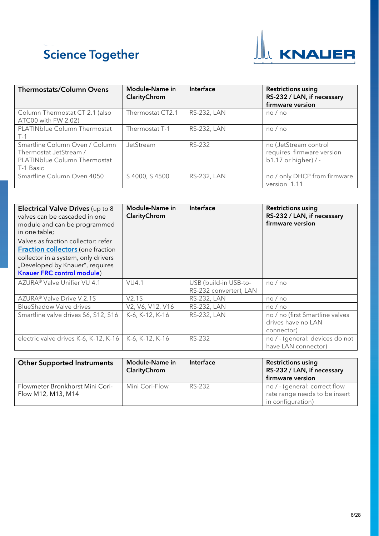

<span id="page-5-0"></span>

| <b>Thermostats/Column Ovens</b>                                                                              | <b>Module-Name in</b><br>ClarityChrom | Interface          | <b>Restrictions using</b><br>RS-232 / LAN, if necessary<br>firmware version  |
|--------------------------------------------------------------------------------------------------------------|---------------------------------------|--------------------|------------------------------------------------------------------------------|
| Column Thermostat CT 2.1 (also<br>ATC00 with FW 2.02)                                                        | Thermostat CT2.1                      | <b>RS-232, LAN</b> | no/no                                                                        |
| PLATINblue Column Thermostat<br>$T-1$                                                                        | Thermostat T-1                        | <b>RS-232, LAN</b> | no/no                                                                        |
| Smartline Column Oven / Column<br>Thermostat JetStream /<br><b>PLATINblue Column Thermostat</b><br>T-1 Basic | JetStream                             | RS-232             | no (JetStream control<br>requires firmware version<br>$b1.17$ or higher) / - |
| Smartline Column Oven 4050                                                                                   | S 4000, S 4500                        | <b>RS-232, LAN</b> | no / only DHCP from firmware<br>version 1.11                                 |

<span id="page-5-1"></span>

| Electrical Valve Drives (up to 8<br>valves can be cascaded in one<br>module and can be programmed<br>in one table;<br>Valves as fraction collector: refer<br>Fraction collectors (one fraction<br>collector in a system, only drivers<br>"Developed by Knauer", requires<br><b>Knauer FRC control module)</b> | Module-Name in<br>ClarityChrom | Interface                                       | <b>Restrictions using</b><br>RS-232 / LAN, if necessary<br>firmware version |
|---------------------------------------------------------------------------------------------------------------------------------------------------------------------------------------------------------------------------------------------------------------------------------------------------------------|--------------------------------|-------------------------------------------------|-----------------------------------------------------------------------------|
| AZURA <sup>®</sup> Valve Unifier VU 4.1                                                                                                                                                                                                                                                                       | <b>VU4.1</b>                   | USB (build-in USB-to-<br>RS-232 converter), LAN | no/no                                                                       |
| AZURA <sup>®</sup> Valve Drive V 2.1S                                                                                                                                                                                                                                                                         | V2.1S                          | <b>RS-232, LAN</b>                              | no/no                                                                       |
| <b>BlueShadow Valve drives</b>                                                                                                                                                                                                                                                                                | V2, V6, V12, V16               | <b>RS-232, LAN</b>                              | no/no                                                                       |
| Smartline valve drives S6, S12, S16                                                                                                                                                                                                                                                                           | K-6, K-12, K-16                | <b>RS-232, LAN</b>                              | no / no (first Smartline valves<br>drives have no LAN<br>connector)         |
| electric valve drives K-6, K-12, K-16                                                                                                                                                                                                                                                                         | K-6, K-12, K-16                | <b>RS-232</b>                                   | no / - (general: devices do not<br>have LAN connector)                      |

<span id="page-5-2"></span>

| <b>Other Supported Instruments</b>                    | Module-Name in<br>ClarityChrom | Interface | <b>Restrictions using</b><br>RS-232 / LAN, if necessary<br>firmware version         |
|-------------------------------------------------------|--------------------------------|-----------|-------------------------------------------------------------------------------------|
| Flowmeter Bronkhorst Mini Cori-<br>Flow M12, M13, M14 | Mini Cori-Flow                 | RS-232    | no / - (general: correct flow<br>rate range needs to be insert<br>in configuration) |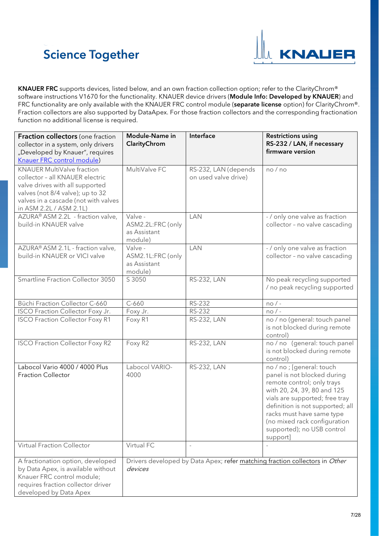

KNAUER FRC supports devices, listed below, and an own fraction collection option; refer to the ClarityChrom® software instructions V1670 for the functionality. KNAUER device drivers (Module Info: Developed by KNAUER) and FRC functionality are only available with the KNAUER FRC control module (separate license option) for ClarityChrom®. Fraction collectors are also supported by DataApex. For those fraction collectors and the corresponding fractionation function no additional license is required.

<span id="page-6-1"></span><span id="page-6-0"></span>

| Fraction collectors (one fraction<br>collector in a system, only drivers<br>"Developed by Knauer", requires<br>Knauer FRC control module)                                                                      | Module-Name in<br>ClarityChrom                          | Interface                                    | <b>Restrictions using</b><br>RS-232 / LAN, if necessary<br>firmware version                                                                                                                                                                                                                        |
|----------------------------------------------------------------------------------------------------------------------------------------------------------------------------------------------------------------|---------------------------------------------------------|----------------------------------------------|----------------------------------------------------------------------------------------------------------------------------------------------------------------------------------------------------------------------------------------------------------------------------------------------------|
| <b>KNAUER MultiValve fraction</b><br>collector - all KNAUER electric<br>valve drives with all supported<br>valves (not 8/4 valve); up to 32<br>valves in a cascade (not with valves<br>in ASM 2.2L / ASM 2.1L) | MultiValve FC                                           | RS-232, LAN (depends<br>on used valve drive) | no/no                                                                                                                                                                                                                                                                                              |
| AZURA® ASM 2.2L - fraction valve,<br>build-in KNAUER valve                                                                                                                                                     | Valve -<br>ASM2.2L:FRC (only<br>as Assistant<br>module) | LAN                                          | - / only one valve as fraction<br>collector - no valve cascading                                                                                                                                                                                                                                   |
| AZURA® ASM 2.1L - fraction valve,<br>build-in KNAUER or VICI valve                                                                                                                                             | Valve -<br>ASM2.1L:FRC (only<br>as Assistant<br>module) | <b>LAN</b>                                   | - / only one valve as fraction<br>collector - no valve cascading                                                                                                                                                                                                                                   |
| Smartline Fraction Collector 3050                                                                                                                                                                              | S 3050                                                  | <b>RS-232, LAN</b>                           | No peak recycling supported<br>/ no peak recycling supported                                                                                                                                                                                                                                       |
| Büchi Fraction Collector C-660                                                                                                                                                                                 | $C-660$                                                 | RS-232                                       | $no/$ -                                                                                                                                                                                                                                                                                            |
| ISCO Fraction Collector Foxy Jr.                                                                                                                                                                               | Foxy Jr.                                                | RS-232                                       | $no/-$                                                                                                                                                                                                                                                                                             |
| <b>ISCO Fraction Collector Foxy R1</b>                                                                                                                                                                         | Foxy R1                                                 | <b>RS-232, LAN</b>                           | no / no (general: touch panel<br>is not blocked during remote<br>control)                                                                                                                                                                                                                          |
| <b>ISCO Fraction Collector Foxy R2</b>                                                                                                                                                                         | Foxy R2                                                 | RS-232, LAN                                  | no / no (general: touch panel<br>is not blocked during remote<br>control)                                                                                                                                                                                                                          |
| Labocol Vario 4000 / 4000 Plus<br><b>Fraction Collector</b>                                                                                                                                                    | Labocol VARIO-<br>4000                                  | RS-232, LAN                                  | no / no ; [general: touch<br>panel is not blocked during<br>remote control; only trays<br>with 20, 24, 39, 80 and 125<br>vials are supported; free tray<br>definition is not supported; all<br>racks must have same type<br>(no mixed rack configuration<br>supported); no USB control<br>support] |
| <b>Virtual Fraction Collector</b>                                                                                                                                                                              | Virtual FC                                              | $\overline{\phantom{a}}$                     |                                                                                                                                                                                                                                                                                                    |
| A fractionation option, developed<br>by Data Apex, is available without<br>Knauer FRC control module;<br>requires fraction collector driver<br>developed by Data Apex                                          | devices                                                 |                                              | Drivers developed by Data Apex; refer matching fraction collectors in Other                                                                                                                                                                                                                        |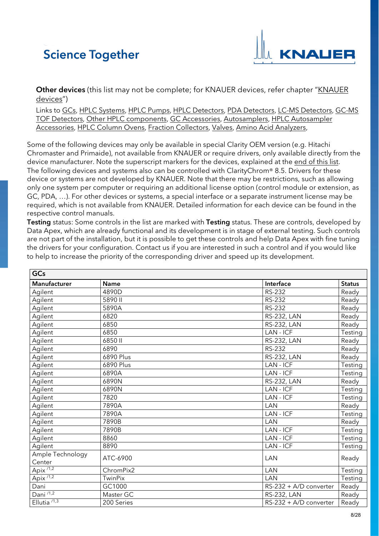

Other devices (this list may not be complete; for KNAUER devices, refer chapter ["KNAUER](#page-0-1) [devices"](#page-0-1))

Links to [GCs,](#page-7-0) [HPLC Systems,](#page-8-0) [HPLC Pumps,](#page-9-0) [HPLC Detectors,](#page-13-0) [PDA Detectors,](#page-17-0) [LC-MS Detectors,](#page-18-0) [GC-MS](#page-18-1)  [TOF Detectors,](#page-18-1) [Other HPLC components,](#page-18-2) [GC Accessories,](#page-18-3) [Autosamplers,](#page-18-4) [HPLC Autosampler](#page-22-0)  [Accessories,](#page-22-0) HPLC [Column Ovens,](#page-22-1) [Fraction Collectors,](#page-23-0) [Valves,](#page-24-0) [Amino Acid Analyzers,](#page-25-0)

Some of the following devices may only be available in special Clarity OEM version (e.g. Hitachi Chromaster and Primaide), not available from KNAUER or require drivers, only available directly from the device manufacturer. Note the superscript markers for the devices, explained at the [end of this list.](#page-25-1) The following devices and systems also can be controlled with ClarityChrom® 8.5. Drivers for these device or systems are not developed by KNAUER. Note that there may be restrictions, such as allowing only one system per computer or requiring an additional license option (control module or extension, as GC, PDA, …). For other devices or systems, a special interface or a separate instrument license may be required, which is not available from KNAUER. Detailed information for each device can be found in the respective control manuals.

Testing status: Some controls in the list are marked with Testing status. These are controls, developed by Data Apex, which are already functional and its development is in stage of external testing. Such controls are not part of the installation, but it is possible to get these controls and help Data Apex with fine tuning the drivers for your configuration. Contact us if you are interested in such a control and if you would like to help to increase the priority of the corresponding driver and speed up its development.

<span id="page-7-0"></span>

| GCs                        |                |                        |               |
|----------------------------|----------------|------------------------|---------------|
| Manufacturer               | <b>Name</b>    | Interface              | <b>Status</b> |
| Agilent                    | 4890D          | <b>RS-232</b>          | Ready         |
| Agilent                    | 5890 II        | <b>RS-232</b>          | Ready         |
| Agilent                    | 5890A          | RS-232                 | Ready         |
| Agilent                    | 6820           | <b>RS-232, LAN</b>     | Ready         |
| Agilent                    | 6850           | <b>RS-232, LAN</b>     | Ready         |
| Agilent                    | 6850           | LAN - ICF              | Testing       |
| Agilent                    | 6850 II        | <b>RS-232, LAN</b>     | Ready         |
| Agilent                    | 6890           | <b>RS-232</b>          | Ready         |
| Agilent                    | 6890 Plus      | <b>RS-232, LAN</b>     | Ready         |
| Agilent                    | 6890 Plus      | LAN - ICF              | Testing       |
| Agilent                    | 6890A          | LAN - ICF              | Testing       |
| Agilent                    | 6890N          | RS-232, LAN            | Ready         |
| Agilent                    | 6890N          | LAN - ICF              | Testing       |
| Agilent                    | 7820           | LAN - ICF              | Testing       |
| Agilent                    | 7890A          | <b>LAN</b>             | Ready         |
| Agilent                    | 7890A          | LAN - ICF              | Testing       |
| Agilent                    | 7890B          | <b>LAN</b>             | Ready         |
| Agilent                    | 7890B          | LAN - ICF              | Testing       |
| Agilent                    | 8860           | LAN-ICF                | Testing       |
| Agilent                    | 8890           | $LAN$ - $ICF$          | Testing       |
| Ample Technology<br>Center | ATC-6900       | LAN                    | Ready         |
| $Apix^{1/2}$               | ChromPix2      | LAN                    | Testing       |
| Apix $\sqrt{1.2}$          | <b>TwinPix</b> | LAN                    | Testing       |
| Dani                       | GC1000         | RS-232 + A/D converter | Ready         |
| Dani $\overline{^{1/1,2}}$ | Master GC      | <b>RS-232, LAN</b>     | Ready         |
| Ellutia $1,3$              | 200 Series     | RS-232 + A/D converter | Ready         |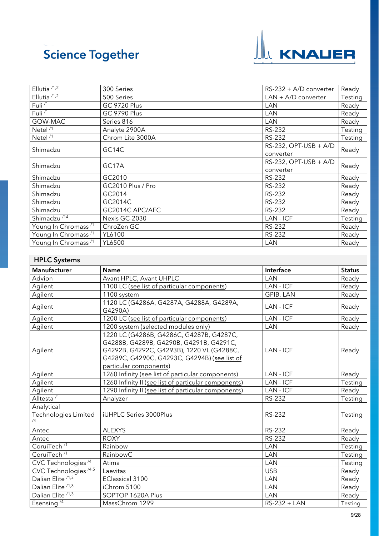

| Ellutia $\sqrt{1.2}$            | 300 Series          | $RS-232 + A/D$ converter | Ready   |
|---------------------------------|---------------------|--------------------------|---------|
| Ellutia $1/1,2$                 | 500 Series          | $LAN + A/D$ converter    | Testing |
| Fuli <sup>/1</sup>              | <b>GC 9720 Plus</b> | LAN                      | Ready   |
| Fuli <sup>/1</sup>              | <b>GC 9790 Plus</b> | LAN                      | Ready   |
| GOW-MAC                         | Series 816          | LAN                      | Ready   |
| Netel <sup>/1</sup>             | Analyte 2900A       | <b>RS-232</b>            | Testing |
| Netel <sup>/1</sup>             | Chrom Lite 3000A    | <b>RS-232</b>            | Testing |
| Shimadzu                        | GC14C               | $RS-232$ , OPT-USB + A/D | Ready   |
|                                 |                     | converter                |         |
| Shimadzu                        | GC17A               | $RS-232$ , OPT-USB + A/D | Ready   |
|                                 |                     | converter                |         |
| Shimadzu                        | GC2010              | RS-232                   | Ready   |
| Shimadzu                        | GC2010 Plus / Pro   | RS-232                   | Ready   |
| Shimadzu                        | GC2014              | <b>RS-232</b>            | Ready   |
| Shimadzu                        | GC2014C             | <b>RS-232</b>            | Ready   |
| Shimadzu                        | GC2014C APC/AFC     | <b>RS-232</b>            | Ready   |
| Shimadzu <sup>/14</sup>         | Nexis GC-2030       | LAN - ICF                | Testing |
| Young In Chromass <sup>/1</sup> | ChroZen GC          | RS-232                   | Ready   |
| Young In Chromass <sup>/1</sup> | YL6100              | RS-232                   | Ready   |
| Young In Chromass <sup>/1</sup> | YL6500              | LAN                      | Ready   |

<span id="page-8-0"></span>

| <b>HPLC Systems</b>                      |                                                                                                                                                                                                            |               |               |
|------------------------------------------|------------------------------------------------------------------------------------------------------------------------------------------------------------------------------------------------------------|---------------|---------------|
| Manufacturer                             | <b>Name</b>                                                                                                                                                                                                | Interface     | <b>Status</b> |
| Advion                                   | Avant HPLC, Avant UHPLC                                                                                                                                                                                    | LAN           | Ready         |
| Agilent                                  | 1100 LC (see list of particular components)                                                                                                                                                                | LAN - ICF     | Ready         |
| Agilent                                  | 1100 system                                                                                                                                                                                                | GPIB, LAN     | Ready         |
| Agilent                                  | 1120 LC (G4286A, G4287A, G4288A, G4289A,<br>G4290A)                                                                                                                                                        | LAN - ICF     | Ready         |
| Agilent                                  | 1200 LC (see list of particular components)                                                                                                                                                                | LAN - ICF     | Ready         |
| Agilent                                  | 1200 system (selected modules only)                                                                                                                                                                        | <b>LAN</b>    | Ready         |
| Agilent                                  | 1220 LC (G4286B, G4286C, G4287B, G4287C,<br>G4288B, G4289B, G4290B, G4291B, G4291C,<br>G4292B, G4292C, G4293B), 1220 VL (G4288C,<br>G4289C, G4290C, G4293C, G4294B) (see list of<br>particular components) | LAN - ICF     | Ready         |
| Agilent                                  | 1260 Infinity (see list of particular components)                                                                                                                                                          | LAN - ICF     | Ready         |
| Agilent                                  | 1260 Infinity II (see list of particular components)                                                                                                                                                       | LAN - ICF     | Testing       |
| Agilent                                  | 1290 Infinity II (see list of particular components)                                                                                                                                                       | LAN - ICF     | Ready         |
| Alltesta <sup>/1</sup>                   | Analyzer                                                                                                                                                                                                   | <b>RS-232</b> | Testing       |
| Analytical<br>Technologies Limited<br>/4 | iUHPLC Series 3000Plus                                                                                                                                                                                     | RS-232        | Testing       |
| Antec                                    | <b>ALEXYS</b>                                                                                                                                                                                              | <b>RS-232</b> | Ready         |
| Antec                                    | <b>ROXY</b>                                                                                                                                                                                                | RS-232        | Ready         |
| CoruiTech <sup>/1</sup>                  | Rainbow                                                                                                                                                                                                    | LAN           | Testing       |
| CoruiTech <sup>/1</sup>                  | RainbowC                                                                                                                                                                                                   | LAN           | Testing       |
| CVC Technologies <sup>/4</sup>           | Atima                                                                                                                                                                                                      | LAN           | Testing       |
| CVC Technologies <sup>/4,5</sup>         | Laevitas                                                                                                                                                                                                   | <b>USB</b>    | Ready         |
| Dalian Elite <sup>/1,3</sup>             | <b>EClassical 3100</b>                                                                                                                                                                                     | LAN           | Ready         |
| Dalian Elite <sup>/1,3</sup>             | iChrom 5100                                                                                                                                                                                                | LAN           | Ready         |
| Dalian Elite <sup>/1,3</sup>             | SOPTOP 1620A Plus                                                                                                                                                                                          | LAN           | Ready         |
| Esensing <sup><math>4</math></sup>       | MassChrom 1299                                                                                                                                                                                             | RS-232 + LAN  | Testing       |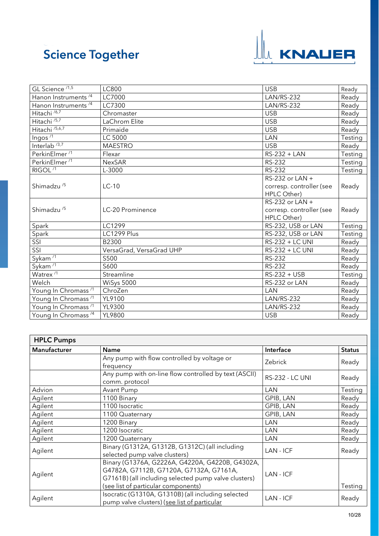

| GL Science <sup>/1,5</sup>      | LC800                    | <b>USB</b>               | Ready   |
|---------------------------------|--------------------------|--------------------------|---------|
| Hanon Instruments <sup>/4</sup> | LC7000                   | <b>LAN/RS-232</b>        | Ready   |
| Hanon Instruments <sup>/4</sup> | LC7300                   | <b>LAN/RS-232</b>        | Ready   |
| Hitachi <sup>/6,7</sup>         | Chromaster               | <b>USB</b>               | Ready   |
| Hitachi <sup>75,7</sup>         | LaChrom Elite            | <b>USB</b>               | Ready   |
| Hitachi <sup>/5,6,7</sup>       | Primaide                 | <b>USB</b>               | Ready   |
| Ingos <sup>71</sup>             | <b>LC 5000</b>           | LAN                      | Testing |
| Interlab $/3,7$                 | <b>MAESTRO</b>           | <b>USB</b>               | Ready   |
| PerkinElmer <sup>/1</sup>       | Flexar                   | RS-232 + LAN             | Testing |
| PerkinElmer <sup>/1</sup>       | <b>NexSAR</b>            | RS-232                   | Testing |
| RIGOL <sup>/1</sup>             | L-3000                   | <b>RS-232</b>            | Testing |
|                                 |                          | RS-232 or LAN +          |         |
| Shimadzu <sup>/5</sup>          | $LC-10$                  | corresp. controller (see | Ready   |
|                                 |                          | HPLC Other)              |         |
|                                 |                          | RS-232 or LAN +          |         |
| Shimadzu <sup>/5</sup>          | LC-20 Prominence         | corresp. controller (see | Ready   |
|                                 |                          | HPLC Other)              |         |
| Spark                           | LC1299                   | RS-232, USB or LAN       | Testing |
| Spark                           | LC1299 Plus              | RS-232, USB or LAN       | Testing |
| SSI                             | B2300                    | RS-232 + LC UNI          | Ready   |
| SSI                             | VersaGrad, VersaGrad UHP | RS-232 + LC UNI          | Ready   |
| Sykam $\overline{11}$           | S500                     | <b>RS-232</b>            | Ready   |
| $Sy$ kam <sup>71</sup>          | S600                     | <b>RS-232</b>            | Ready   |
| Watrex <sup>/1</sup>            | Streamline               | RS-232 + USB             | Testing |
| Welch                           | WiSys 5000               | RS-232 or LAN            | Ready   |
| Young In Chromass <sup>/1</sup> | ChroZen                  | LAN                      | Ready   |
| Young In Chromass <sup>/1</sup> | YL9100                   | <b>LAN/RS-232</b>        | Ready   |
| Young In Chromass <sup>/1</sup> | YL9300                   | <b>LAN/RS-232</b>        | Ready   |
| Young In Chromass <sup>/4</sup> | YL9800                   | <b>USB</b>               | Ready   |

<span id="page-9-0"></span>

| <b>HPLC Pumps</b> |                                                                                                                                                                                           |                        |               |
|-------------------|-------------------------------------------------------------------------------------------------------------------------------------------------------------------------------------------|------------------------|---------------|
| Manufacturer      | Name                                                                                                                                                                                      | Interface              | <b>Status</b> |
|                   | Any pump with flow controlled by voltage or<br>frequency                                                                                                                                  | Zebrick                | Ready         |
|                   | Any pump with on-line flow controlled by text (ASCII)<br>comm. protocol                                                                                                                   | <b>RS-232 - LC UNI</b> | Ready         |
| Advion            | Avant Pump                                                                                                                                                                                | LAN                    | Testing       |
| Agilent           | 1100 Binary                                                                                                                                                                               | GPIB, LAN              | Ready         |
| Agilent           | 1100 Isocratic                                                                                                                                                                            | GPIB, LAN              | Ready         |
| Agilent           | 1100 Quaternary                                                                                                                                                                           | GPIB, LAN              | Ready         |
| Agilent           | 1200 Binary                                                                                                                                                                               | LAN                    | Ready         |
| Agilent           | 1200 Isocratic                                                                                                                                                                            | LAN                    | Ready         |
| Agilent           | 1200 Quaternary                                                                                                                                                                           | LAN                    | Ready         |
| Agilent           | Binary (G1312A, G1312B, G1312C) (all including<br>selected pump valve clusters)                                                                                                           | LAN - ICF              | Ready         |
| Agilent           | Binary (G1376A, G2226A, G4220A, G4220B, G4302A,<br>G4782A, G7112B, G7120A, G7132A, G7161A,<br>G7161B) (all including selected pump valve clusters)<br>(see list of particular components) | LAN - ICF              | Testing       |
| Agilent           | Isocratic (G1310A, G1310B) (all including selected<br>pump valve clusters) (see list of particular                                                                                        | LAN - ICF              | Ready         |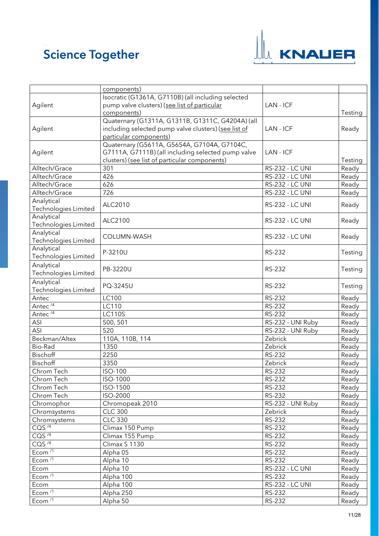

|                       | components)                                          |                        |         |
|-----------------------|------------------------------------------------------|------------------------|---------|
|                       | Isocratic (G1361A, G7110B) (all including selected   |                        |         |
| Agilent               | pump valve clusters) (see list of particular         | LAN - ICF              |         |
|                       | components)                                          |                        | Testing |
|                       | Quaternary (G1311A, G1311B, G1311C, G4204A) (all     |                        |         |
| Agilent               | including selected pump valve clusters) (see list of | LAN - ICF              | Ready   |
|                       | particular components)                               |                        |         |
|                       | Quaternary (G5611A, G5654A, G7104A, G7104C,          |                        |         |
| Agilent               | G7111A, G7111B) (all including selected pump valve   | LAN - ICF              |         |
|                       | clusters) (see list of particular components)        |                        | Testing |
| Alltech/Grace         | 301                                                  | <b>RS-232 - LC UNI</b> | Ready   |
| Alltech/Grace         | 426                                                  | RS-232 - LC UNI        | Ready   |
| Alltech/Grace         | 626                                                  | <b>RS-232 - LC UNI</b> | Ready   |
| Alltech/Grace         | 726                                                  | <b>RS-232 - LC UNI</b> | Ready   |
| Analytical            | ALC2010                                              |                        |         |
| Technologies Limited  |                                                      | <b>RS-232 - LC UNI</b> | Ready   |
| Analytical            |                                                      |                        |         |
| Technologies Limited  | ALC2100                                              | <b>RS-232 - LC UNI</b> | Ready   |
| Analytical            |                                                      |                        |         |
| Technologies Limited  | COLUMN-WASH                                          | <b>RS-232 - LC UNI</b> | Ready   |
| Analytical            |                                                      | RS-232                 |         |
| Technologies Limited  | P-3210U                                              |                        | Testing |
| Analytical            |                                                      |                        |         |
| Technologies Limited  | PB-3220U                                             | RS-232                 | Testing |
| Analytical            |                                                      |                        |         |
| Technologies Limited  | PQ-3245U                                             | RS-232                 | Testing |
| Antec                 | LC100                                                | RS-232                 | Ready   |
| Antec <sup>/4</sup>   | LC110                                                | RS-232                 | Ready   |
| Antec <sup>/4</sup>   | <b>LC110S</b>                                        | RS-232                 | Ready   |
| ASI                   | 500, 501                                             | RS-232 - UNI Ruby      | Ready   |
| ASI                   | 520                                                  | RS-232 - UNI Ruby      | Ready   |
| Beckman/Altex         | 110A, 110B, 114                                      | Zebrick                | Ready   |
| <b>Bio-Rad</b>        | 1350                                                 | Zebrick                | Ready   |
| Bischoff              | 2250                                                 | RS-232                 | Ready   |
| Bischoff              | 3350                                                 | Zebrick                | Ready   |
| Chrom Tech            | ISO-100                                              | RS-232                 | Ready   |
| Chrom Tech            | ISO-1000                                             | RS-232                 | Ready   |
| Chrom Tech            | ISO-1500                                             | RS-232                 | Ready   |
| Chrom Tech            | ISO-2000                                             | RS-232                 | Ready   |
| Chromophor            | Chromopeak 2010                                      | RS-232 - UNI Ruby      | Ready   |
| Chromsystems          | <b>CLC 300</b>                                       | Zebrick                | Ready   |
| Chromsystems          | <b>CLC 330</b>                                       | RS-232                 | Ready   |
| COS <sup>74</sup>     | Climax 150 Pump                                      | <b>RS-232</b>          | Ready   |
| CQS $\sqrt{4}$        | Climax 155 Pump                                      | RS-232                 | Ready   |
| $CQS^{\overline{74}}$ | Climax S 1130                                        | RS-232                 | Ready   |
| Ecom <sup>/1</sup>    | Alpha 05                                             | RS-232                 | Ready   |
| Ecom <sup>/1</sup>    | Alpha 10                                             | RS-232                 | Ready   |
| Ecom                  | Alpha 10                                             | <b>RS-232 - LC UNI</b> | Ready   |
| Ecom <sup>/1</sup>    | Alpha 100                                            | RS-232                 | Ready   |
| Ecom                  | Alpha 100                                            | RS-232 - LC UNI        | Ready   |
| Ecom $\overline{11}$  | Alpha 250                                            | RS-232                 | Ready   |
| Ecom <sup>/1</sup>    | Alpha 50                                             | RS-232                 | Ready   |
|                       |                                                      |                        |         |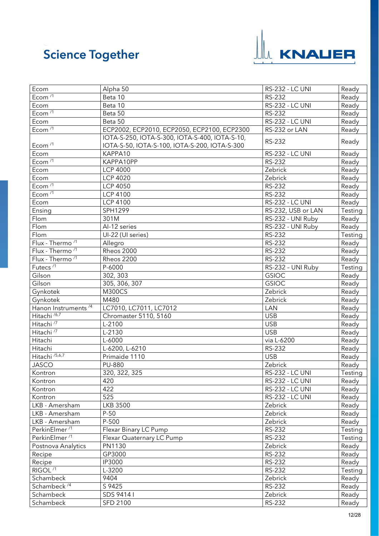

| Ecom <sup>/1</sup><br>Beta 10<br>RS-232<br>Ready<br>Beta 10<br><b>RS-232 - LC UNI</b><br>Ready<br>Ecom<br>Ecom $\frac{1}{1}$<br>Beta 50<br><b>RS-232</b><br>Ready<br><b>RS-232 - LC UNI</b><br>Beta 50<br>Ready<br>Ecom<br>Ecom $\overline{11}$<br>ECP2002, ECP2010, ECP2050, ECP2100, ECP2300<br>RS-232 or LAN<br>Ready<br>IOTA-S-250, IOTA-S-300, IOTA-S-400, IOTA-S-10,<br>RS-232<br>Ready<br>Ecom <sup>/1</sup><br>IOTA-S-50, IOTA-S-100, IOTA-S-200, IOTA-S-300<br>KAPPA10<br><b>RS-232 - LC UNI</b><br>Ecom<br>Ready<br>Ecom $\sqrt{1}$<br>KAPPA10PP<br>RS-232<br>Ready<br>Zebrick<br>Ecom<br><b>LCP 4000</b><br>Ready<br>Ecom<br><b>LCP 4020</b><br>Zebrick<br>Ready<br>Ecom <sup>/1</sup><br>RS-232<br><b>LCP 4050</b><br>Ready<br>Ecom <sup>/1</sup><br><b>RS-232</b><br><b>LCP 4100</b><br>Ready<br><b>LCP 4100</b><br><b>RS-232 - LC UNI</b><br>Ecom<br>Ready<br>Ensing<br>SPH1299<br>RS-232, USB or LAN<br>Testing<br>RS-232 - UNI Ruby<br>Flom<br>301M<br>Ready<br>Flom<br>Al-12 series<br>RS-232 - UNI Ruby<br>Ready<br>Flom<br><b>RS-232</b><br>Testing<br>UI-22 (UI series)<br>Flux - Thermo <sup>/1</sup><br>RS-232<br>Allegro<br>Ready<br>Flux - Thermo <sup>/1</sup><br>Rheos 2000<br>RS-232<br>Ready<br>Flux - Thermo <sup>/1</sup><br><b>RS-232</b><br>Rheos 2200<br>Ready<br>Futecs <sup>/1</sup><br>P-6000<br>RS-232 - UNI Ruby<br>Testing<br>302, 303<br>Gilson<br><b>GSIOC</b><br>Ready<br><b>GSIOC</b><br>Gilson<br>305, 306, 307<br>Ready<br>Zebrick<br><b>M300CS</b><br>Gynkotek<br>Ready<br>Gynkotek<br>M480<br>Zebrick<br>Ready<br>Hanon Instruments <sup>/4</sup><br>LC7010, LC7011, LC7012<br><b>LAN</b><br>Ready<br>Hitachi <sup>/6,7</sup><br><b>USB</b><br>Chromaster 5110, 5160<br>Ready<br>Hitachi <sup>/7</sup><br><b>USB</b><br>L-2100<br>Ready<br>Hitachi <sup>/7</sup><br><b>USB</b><br>$L-2130$<br>Ready<br>via L-6200<br>Hitachi<br>L-6000<br>Ready<br>RS-232<br>Hitachi<br>L-6200, L-6210<br>Ready<br>Hitachi <sup>/5,6,7</sup><br>Primaide 1110<br><b>USB</b><br>Ready<br><b>JASCO</b><br>PU-880<br>Zebrick<br>Ready<br>Kontron<br>320, 322, 325<br><b>RS-232 - LC UNI</b><br>Testing<br>420<br><b>RS-232 - LC UNI</b><br>Ready<br>Kontron<br>422<br>RS-232 - LC UNI<br>Ready<br>Kontron<br>525<br>RS-232 - LC UNI<br>Ready<br>Kontron<br><b>LKB 3500</b><br>LKB - Amersham<br>Zebrick<br>Ready<br>$P-50$<br>Zebrick<br>LKB - Amersham<br>Ready<br>P-500<br>Zebrick<br>LKB - Amersham<br>Ready<br>PerkinElmer <sup>/1</sup><br>RS-232<br>Testing<br>Flexar Binary LC Pump<br>PerkinElmer <sup>/1</sup><br>RS-232<br>Testing<br>Flexar Quaternary LC Pump<br>Postnova Analytics<br>PN1130<br>Zebrick<br>Ready<br><b>RS-232</b><br>GP3000<br>Ready<br>Recipe<br>RS-232<br>IP3000<br>Recipe<br>Ready<br>$RIGOL$ <sup>/1</sup><br>RS-232<br>L-3200<br>Testing<br>9404<br>Zebrick<br>Schambeck<br>Ready<br>Schambeck <sup>74</sup><br>RS-232<br>S 9425<br>Ready<br>SDS 9414 I<br>Schambeck<br>Zebrick<br>Ready | Ecom      | Alpha 50        | <b>RS-232 - LC UNI</b> | Ready |
|--------------------------------------------------------------------------------------------------------------------------------------------------------------------------------------------------------------------------------------------------------------------------------------------------------------------------------------------------------------------------------------------------------------------------------------------------------------------------------------------------------------------------------------------------------------------------------------------------------------------------------------------------------------------------------------------------------------------------------------------------------------------------------------------------------------------------------------------------------------------------------------------------------------------------------------------------------------------------------------------------------------------------------------------------------------------------------------------------------------------------------------------------------------------------------------------------------------------------------------------------------------------------------------------------------------------------------------------------------------------------------------------------------------------------------------------------------------------------------------------------------------------------------------------------------------------------------------------------------------------------------------------------------------------------------------------------------------------------------------------------------------------------------------------------------------------------------------------------------------------------------------------------------------------------------------------------------------------------------------------------------------------------------------------------------------------------------------------------------------------------------------------------------------------------------------------------------------------------------------------------------------------------------------------------------------------------------------------------------------------------------------------------------------------------------------------------------------------------------------------------------------------------------------------------------------------------------------------------------------------------------------------------------------------------------------------------------------------------------------------------------------------------------------------------------------------------------------------------------------------------------------------------------------------------------------------------------|-----------|-----------------|------------------------|-------|
|                                                                                                                                                                                                                                                                                                                                                                                                                                                                                                                                                                                                                                                                                                                                                                                                                                                                                                                                                                                                                                                                                                                                                                                                                                                                                                                                                                                                                                                                                                                                                                                                                                                                                                                                                                                                                                                                                                                                                                                                                                                                                                                                                                                                                                                                                                                                                                                                                                                                                                                                                                                                                                                                                                                                                                                                                                                                                                                                                        |           |                 |                        |       |
|                                                                                                                                                                                                                                                                                                                                                                                                                                                                                                                                                                                                                                                                                                                                                                                                                                                                                                                                                                                                                                                                                                                                                                                                                                                                                                                                                                                                                                                                                                                                                                                                                                                                                                                                                                                                                                                                                                                                                                                                                                                                                                                                                                                                                                                                                                                                                                                                                                                                                                                                                                                                                                                                                                                                                                                                                                                                                                                                                        |           |                 |                        |       |
|                                                                                                                                                                                                                                                                                                                                                                                                                                                                                                                                                                                                                                                                                                                                                                                                                                                                                                                                                                                                                                                                                                                                                                                                                                                                                                                                                                                                                                                                                                                                                                                                                                                                                                                                                                                                                                                                                                                                                                                                                                                                                                                                                                                                                                                                                                                                                                                                                                                                                                                                                                                                                                                                                                                                                                                                                                                                                                                                                        |           |                 |                        |       |
|                                                                                                                                                                                                                                                                                                                                                                                                                                                                                                                                                                                                                                                                                                                                                                                                                                                                                                                                                                                                                                                                                                                                                                                                                                                                                                                                                                                                                                                                                                                                                                                                                                                                                                                                                                                                                                                                                                                                                                                                                                                                                                                                                                                                                                                                                                                                                                                                                                                                                                                                                                                                                                                                                                                                                                                                                                                                                                                                                        |           |                 |                        |       |
|                                                                                                                                                                                                                                                                                                                                                                                                                                                                                                                                                                                                                                                                                                                                                                                                                                                                                                                                                                                                                                                                                                                                                                                                                                                                                                                                                                                                                                                                                                                                                                                                                                                                                                                                                                                                                                                                                                                                                                                                                                                                                                                                                                                                                                                                                                                                                                                                                                                                                                                                                                                                                                                                                                                                                                                                                                                                                                                                                        |           |                 |                        |       |
|                                                                                                                                                                                                                                                                                                                                                                                                                                                                                                                                                                                                                                                                                                                                                                                                                                                                                                                                                                                                                                                                                                                                                                                                                                                                                                                                                                                                                                                                                                                                                                                                                                                                                                                                                                                                                                                                                                                                                                                                                                                                                                                                                                                                                                                                                                                                                                                                                                                                                                                                                                                                                                                                                                                                                                                                                                                                                                                                                        |           |                 |                        |       |
|                                                                                                                                                                                                                                                                                                                                                                                                                                                                                                                                                                                                                                                                                                                                                                                                                                                                                                                                                                                                                                                                                                                                                                                                                                                                                                                                                                                                                                                                                                                                                                                                                                                                                                                                                                                                                                                                                                                                                                                                                                                                                                                                                                                                                                                                                                                                                                                                                                                                                                                                                                                                                                                                                                                                                                                                                                                                                                                                                        |           |                 |                        |       |
|                                                                                                                                                                                                                                                                                                                                                                                                                                                                                                                                                                                                                                                                                                                                                                                                                                                                                                                                                                                                                                                                                                                                                                                                                                                                                                                                                                                                                                                                                                                                                                                                                                                                                                                                                                                                                                                                                                                                                                                                                                                                                                                                                                                                                                                                                                                                                                                                                                                                                                                                                                                                                                                                                                                                                                                                                                                                                                                                                        |           |                 |                        |       |
|                                                                                                                                                                                                                                                                                                                                                                                                                                                                                                                                                                                                                                                                                                                                                                                                                                                                                                                                                                                                                                                                                                                                                                                                                                                                                                                                                                                                                                                                                                                                                                                                                                                                                                                                                                                                                                                                                                                                                                                                                                                                                                                                                                                                                                                                                                                                                                                                                                                                                                                                                                                                                                                                                                                                                                                                                                                                                                                                                        |           |                 |                        |       |
|                                                                                                                                                                                                                                                                                                                                                                                                                                                                                                                                                                                                                                                                                                                                                                                                                                                                                                                                                                                                                                                                                                                                                                                                                                                                                                                                                                                                                                                                                                                                                                                                                                                                                                                                                                                                                                                                                                                                                                                                                                                                                                                                                                                                                                                                                                                                                                                                                                                                                                                                                                                                                                                                                                                                                                                                                                                                                                                                                        |           |                 |                        |       |
|                                                                                                                                                                                                                                                                                                                                                                                                                                                                                                                                                                                                                                                                                                                                                                                                                                                                                                                                                                                                                                                                                                                                                                                                                                                                                                                                                                                                                                                                                                                                                                                                                                                                                                                                                                                                                                                                                                                                                                                                                                                                                                                                                                                                                                                                                                                                                                                                                                                                                                                                                                                                                                                                                                                                                                                                                                                                                                                                                        |           |                 |                        |       |
|                                                                                                                                                                                                                                                                                                                                                                                                                                                                                                                                                                                                                                                                                                                                                                                                                                                                                                                                                                                                                                                                                                                                                                                                                                                                                                                                                                                                                                                                                                                                                                                                                                                                                                                                                                                                                                                                                                                                                                                                                                                                                                                                                                                                                                                                                                                                                                                                                                                                                                                                                                                                                                                                                                                                                                                                                                                                                                                                                        |           |                 |                        |       |
|                                                                                                                                                                                                                                                                                                                                                                                                                                                                                                                                                                                                                                                                                                                                                                                                                                                                                                                                                                                                                                                                                                                                                                                                                                                                                                                                                                                                                                                                                                                                                                                                                                                                                                                                                                                                                                                                                                                                                                                                                                                                                                                                                                                                                                                                                                                                                                                                                                                                                                                                                                                                                                                                                                                                                                                                                                                                                                                                                        |           |                 |                        |       |
|                                                                                                                                                                                                                                                                                                                                                                                                                                                                                                                                                                                                                                                                                                                                                                                                                                                                                                                                                                                                                                                                                                                                                                                                                                                                                                                                                                                                                                                                                                                                                                                                                                                                                                                                                                                                                                                                                                                                                                                                                                                                                                                                                                                                                                                                                                                                                                                                                                                                                                                                                                                                                                                                                                                                                                                                                                                                                                                                                        |           |                 |                        |       |
|                                                                                                                                                                                                                                                                                                                                                                                                                                                                                                                                                                                                                                                                                                                                                                                                                                                                                                                                                                                                                                                                                                                                                                                                                                                                                                                                                                                                                                                                                                                                                                                                                                                                                                                                                                                                                                                                                                                                                                                                                                                                                                                                                                                                                                                                                                                                                                                                                                                                                                                                                                                                                                                                                                                                                                                                                                                                                                                                                        |           |                 |                        |       |
|                                                                                                                                                                                                                                                                                                                                                                                                                                                                                                                                                                                                                                                                                                                                                                                                                                                                                                                                                                                                                                                                                                                                                                                                                                                                                                                                                                                                                                                                                                                                                                                                                                                                                                                                                                                                                                                                                                                                                                                                                                                                                                                                                                                                                                                                                                                                                                                                                                                                                                                                                                                                                                                                                                                                                                                                                                                                                                                                                        |           |                 |                        |       |
|                                                                                                                                                                                                                                                                                                                                                                                                                                                                                                                                                                                                                                                                                                                                                                                                                                                                                                                                                                                                                                                                                                                                                                                                                                                                                                                                                                                                                                                                                                                                                                                                                                                                                                                                                                                                                                                                                                                                                                                                                                                                                                                                                                                                                                                                                                                                                                                                                                                                                                                                                                                                                                                                                                                                                                                                                                                                                                                                                        |           |                 |                        |       |
|                                                                                                                                                                                                                                                                                                                                                                                                                                                                                                                                                                                                                                                                                                                                                                                                                                                                                                                                                                                                                                                                                                                                                                                                                                                                                                                                                                                                                                                                                                                                                                                                                                                                                                                                                                                                                                                                                                                                                                                                                                                                                                                                                                                                                                                                                                                                                                                                                                                                                                                                                                                                                                                                                                                                                                                                                                                                                                                                                        |           |                 |                        |       |
|                                                                                                                                                                                                                                                                                                                                                                                                                                                                                                                                                                                                                                                                                                                                                                                                                                                                                                                                                                                                                                                                                                                                                                                                                                                                                                                                                                                                                                                                                                                                                                                                                                                                                                                                                                                                                                                                                                                                                                                                                                                                                                                                                                                                                                                                                                                                                                                                                                                                                                                                                                                                                                                                                                                                                                                                                                                                                                                                                        |           |                 |                        |       |
|                                                                                                                                                                                                                                                                                                                                                                                                                                                                                                                                                                                                                                                                                                                                                                                                                                                                                                                                                                                                                                                                                                                                                                                                                                                                                                                                                                                                                                                                                                                                                                                                                                                                                                                                                                                                                                                                                                                                                                                                                                                                                                                                                                                                                                                                                                                                                                                                                                                                                                                                                                                                                                                                                                                                                                                                                                                                                                                                                        |           |                 |                        |       |
|                                                                                                                                                                                                                                                                                                                                                                                                                                                                                                                                                                                                                                                                                                                                                                                                                                                                                                                                                                                                                                                                                                                                                                                                                                                                                                                                                                                                                                                                                                                                                                                                                                                                                                                                                                                                                                                                                                                                                                                                                                                                                                                                                                                                                                                                                                                                                                                                                                                                                                                                                                                                                                                                                                                                                                                                                                                                                                                                                        |           |                 |                        |       |
|                                                                                                                                                                                                                                                                                                                                                                                                                                                                                                                                                                                                                                                                                                                                                                                                                                                                                                                                                                                                                                                                                                                                                                                                                                                                                                                                                                                                                                                                                                                                                                                                                                                                                                                                                                                                                                                                                                                                                                                                                                                                                                                                                                                                                                                                                                                                                                                                                                                                                                                                                                                                                                                                                                                                                                                                                                                                                                                                                        |           |                 |                        |       |
|                                                                                                                                                                                                                                                                                                                                                                                                                                                                                                                                                                                                                                                                                                                                                                                                                                                                                                                                                                                                                                                                                                                                                                                                                                                                                                                                                                                                                                                                                                                                                                                                                                                                                                                                                                                                                                                                                                                                                                                                                                                                                                                                                                                                                                                                                                                                                                                                                                                                                                                                                                                                                                                                                                                                                                                                                                                                                                                                                        |           |                 |                        |       |
|                                                                                                                                                                                                                                                                                                                                                                                                                                                                                                                                                                                                                                                                                                                                                                                                                                                                                                                                                                                                                                                                                                                                                                                                                                                                                                                                                                                                                                                                                                                                                                                                                                                                                                                                                                                                                                                                                                                                                                                                                                                                                                                                                                                                                                                                                                                                                                                                                                                                                                                                                                                                                                                                                                                                                                                                                                                                                                                                                        |           |                 |                        |       |
|                                                                                                                                                                                                                                                                                                                                                                                                                                                                                                                                                                                                                                                                                                                                                                                                                                                                                                                                                                                                                                                                                                                                                                                                                                                                                                                                                                                                                                                                                                                                                                                                                                                                                                                                                                                                                                                                                                                                                                                                                                                                                                                                                                                                                                                                                                                                                                                                                                                                                                                                                                                                                                                                                                                                                                                                                                                                                                                                                        |           |                 |                        |       |
|                                                                                                                                                                                                                                                                                                                                                                                                                                                                                                                                                                                                                                                                                                                                                                                                                                                                                                                                                                                                                                                                                                                                                                                                                                                                                                                                                                                                                                                                                                                                                                                                                                                                                                                                                                                                                                                                                                                                                                                                                                                                                                                                                                                                                                                                                                                                                                                                                                                                                                                                                                                                                                                                                                                                                                                                                                                                                                                                                        |           |                 |                        |       |
|                                                                                                                                                                                                                                                                                                                                                                                                                                                                                                                                                                                                                                                                                                                                                                                                                                                                                                                                                                                                                                                                                                                                                                                                                                                                                                                                                                                                                                                                                                                                                                                                                                                                                                                                                                                                                                                                                                                                                                                                                                                                                                                                                                                                                                                                                                                                                                                                                                                                                                                                                                                                                                                                                                                                                                                                                                                                                                                                                        |           |                 |                        |       |
|                                                                                                                                                                                                                                                                                                                                                                                                                                                                                                                                                                                                                                                                                                                                                                                                                                                                                                                                                                                                                                                                                                                                                                                                                                                                                                                                                                                                                                                                                                                                                                                                                                                                                                                                                                                                                                                                                                                                                                                                                                                                                                                                                                                                                                                                                                                                                                                                                                                                                                                                                                                                                                                                                                                                                                                                                                                                                                                                                        |           |                 |                        |       |
|                                                                                                                                                                                                                                                                                                                                                                                                                                                                                                                                                                                                                                                                                                                                                                                                                                                                                                                                                                                                                                                                                                                                                                                                                                                                                                                                                                                                                                                                                                                                                                                                                                                                                                                                                                                                                                                                                                                                                                                                                                                                                                                                                                                                                                                                                                                                                                                                                                                                                                                                                                                                                                                                                                                                                                                                                                                                                                                                                        |           |                 |                        |       |
|                                                                                                                                                                                                                                                                                                                                                                                                                                                                                                                                                                                                                                                                                                                                                                                                                                                                                                                                                                                                                                                                                                                                                                                                                                                                                                                                                                                                                                                                                                                                                                                                                                                                                                                                                                                                                                                                                                                                                                                                                                                                                                                                                                                                                                                                                                                                                                                                                                                                                                                                                                                                                                                                                                                                                                                                                                                                                                                                                        |           |                 |                        |       |
|                                                                                                                                                                                                                                                                                                                                                                                                                                                                                                                                                                                                                                                                                                                                                                                                                                                                                                                                                                                                                                                                                                                                                                                                                                                                                                                                                                                                                                                                                                                                                                                                                                                                                                                                                                                                                                                                                                                                                                                                                                                                                                                                                                                                                                                                                                                                                                                                                                                                                                                                                                                                                                                                                                                                                                                                                                                                                                                                                        |           |                 |                        |       |
|                                                                                                                                                                                                                                                                                                                                                                                                                                                                                                                                                                                                                                                                                                                                                                                                                                                                                                                                                                                                                                                                                                                                                                                                                                                                                                                                                                                                                                                                                                                                                                                                                                                                                                                                                                                                                                                                                                                                                                                                                                                                                                                                                                                                                                                                                                                                                                                                                                                                                                                                                                                                                                                                                                                                                                                                                                                                                                                                                        |           |                 |                        |       |
|                                                                                                                                                                                                                                                                                                                                                                                                                                                                                                                                                                                                                                                                                                                                                                                                                                                                                                                                                                                                                                                                                                                                                                                                                                                                                                                                                                                                                                                                                                                                                                                                                                                                                                                                                                                                                                                                                                                                                                                                                                                                                                                                                                                                                                                                                                                                                                                                                                                                                                                                                                                                                                                                                                                                                                                                                                                                                                                                                        |           |                 |                        |       |
|                                                                                                                                                                                                                                                                                                                                                                                                                                                                                                                                                                                                                                                                                                                                                                                                                                                                                                                                                                                                                                                                                                                                                                                                                                                                                                                                                                                                                                                                                                                                                                                                                                                                                                                                                                                                                                                                                                                                                                                                                                                                                                                                                                                                                                                                                                                                                                                                                                                                                                                                                                                                                                                                                                                                                                                                                                                                                                                                                        |           |                 |                        |       |
|                                                                                                                                                                                                                                                                                                                                                                                                                                                                                                                                                                                                                                                                                                                                                                                                                                                                                                                                                                                                                                                                                                                                                                                                                                                                                                                                                                                                                                                                                                                                                                                                                                                                                                                                                                                                                                                                                                                                                                                                                                                                                                                                                                                                                                                                                                                                                                                                                                                                                                                                                                                                                                                                                                                                                                                                                                                                                                                                                        |           |                 |                        |       |
|                                                                                                                                                                                                                                                                                                                                                                                                                                                                                                                                                                                                                                                                                                                                                                                                                                                                                                                                                                                                                                                                                                                                                                                                                                                                                                                                                                                                                                                                                                                                                                                                                                                                                                                                                                                                                                                                                                                                                                                                                                                                                                                                                                                                                                                                                                                                                                                                                                                                                                                                                                                                                                                                                                                                                                                                                                                                                                                                                        |           |                 |                        |       |
|                                                                                                                                                                                                                                                                                                                                                                                                                                                                                                                                                                                                                                                                                                                                                                                                                                                                                                                                                                                                                                                                                                                                                                                                                                                                                                                                                                                                                                                                                                                                                                                                                                                                                                                                                                                                                                                                                                                                                                                                                                                                                                                                                                                                                                                                                                                                                                                                                                                                                                                                                                                                                                                                                                                                                                                                                                                                                                                                                        |           |                 |                        |       |
|                                                                                                                                                                                                                                                                                                                                                                                                                                                                                                                                                                                                                                                                                                                                                                                                                                                                                                                                                                                                                                                                                                                                                                                                                                                                                                                                                                                                                                                                                                                                                                                                                                                                                                                                                                                                                                                                                                                                                                                                                                                                                                                                                                                                                                                                                                                                                                                                                                                                                                                                                                                                                                                                                                                                                                                                                                                                                                                                                        |           |                 |                        |       |
|                                                                                                                                                                                                                                                                                                                                                                                                                                                                                                                                                                                                                                                                                                                                                                                                                                                                                                                                                                                                                                                                                                                                                                                                                                                                                                                                                                                                                                                                                                                                                                                                                                                                                                                                                                                                                                                                                                                                                                                                                                                                                                                                                                                                                                                                                                                                                                                                                                                                                                                                                                                                                                                                                                                                                                                                                                                                                                                                                        |           |                 |                        |       |
|                                                                                                                                                                                                                                                                                                                                                                                                                                                                                                                                                                                                                                                                                                                                                                                                                                                                                                                                                                                                                                                                                                                                                                                                                                                                                                                                                                                                                                                                                                                                                                                                                                                                                                                                                                                                                                                                                                                                                                                                                                                                                                                                                                                                                                                                                                                                                                                                                                                                                                                                                                                                                                                                                                                                                                                                                                                                                                                                                        |           |                 |                        |       |
|                                                                                                                                                                                                                                                                                                                                                                                                                                                                                                                                                                                                                                                                                                                                                                                                                                                                                                                                                                                                                                                                                                                                                                                                                                                                                                                                                                                                                                                                                                                                                                                                                                                                                                                                                                                                                                                                                                                                                                                                                                                                                                                                                                                                                                                                                                                                                                                                                                                                                                                                                                                                                                                                                                                                                                                                                                                                                                                                                        |           |                 |                        |       |
|                                                                                                                                                                                                                                                                                                                                                                                                                                                                                                                                                                                                                                                                                                                                                                                                                                                                                                                                                                                                                                                                                                                                                                                                                                                                                                                                                                                                                                                                                                                                                                                                                                                                                                                                                                                                                                                                                                                                                                                                                                                                                                                                                                                                                                                                                                                                                                                                                                                                                                                                                                                                                                                                                                                                                                                                                                                                                                                                                        |           |                 |                        |       |
|                                                                                                                                                                                                                                                                                                                                                                                                                                                                                                                                                                                                                                                                                                                                                                                                                                                                                                                                                                                                                                                                                                                                                                                                                                                                                                                                                                                                                                                                                                                                                                                                                                                                                                                                                                                                                                                                                                                                                                                                                                                                                                                                                                                                                                                                                                                                                                                                                                                                                                                                                                                                                                                                                                                                                                                                                                                                                                                                                        |           |                 |                        |       |
|                                                                                                                                                                                                                                                                                                                                                                                                                                                                                                                                                                                                                                                                                                                                                                                                                                                                                                                                                                                                                                                                                                                                                                                                                                                                                                                                                                                                                                                                                                                                                                                                                                                                                                                                                                                                                                                                                                                                                                                                                                                                                                                                                                                                                                                                                                                                                                                                                                                                                                                                                                                                                                                                                                                                                                                                                                                                                                                                                        |           |                 |                        |       |
|                                                                                                                                                                                                                                                                                                                                                                                                                                                                                                                                                                                                                                                                                                                                                                                                                                                                                                                                                                                                                                                                                                                                                                                                                                                                                                                                                                                                                                                                                                                                                                                                                                                                                                                                                                                                                                                                                                                                                                                                                                                                                                                                                                                                                                                                                                                                                                                                                                                                                                                                                                                                                                                                                                                                                                                                                                                                                                                                                        |           |                 |                        |       |
|                                                                                                                                                                                                                                                                                                                                                                                                                                                                                                                                                                                                                                                                                                                                                                                                                                                                                                                                                                                                                                                                                                                                                                                                                                                                                                                                                                                                                                                                                                                                                                                                                                                                                                                                                                                                                                                                                                                                                                                                                                                                                                                                                                                                                                                                                                                                                                                                                                                                                                                                                                                                                                                                                                                                                                                                                                                                                                                                                        |           |                 |                        |       |
|                                                                                                                                                                                                                                                                                                                                                                                                                                                                                                                                                                                                                                                                                                                                                                                                                                                                                                                                                                                                                                                                                                                                                                                                                                                                                                                                                                                                                                                                                                                                                                                                                                                                                                                                                                                                                                                                                                                                                                                                                                                                                                                                                                                                                                                                                                                                                                                                                                                                                                                                                                                                                                                                                                                                                                                                                                                                                                                                                        |           |                 |                        |       |
|                                                                                                                                                                                                                                                                                                                                                                                                                                                                                                                                                                                                                                                                                                                                                                                                                                                                                                                                                                                                                                                                                                                                                                                                                                                                                                                                                                                                                                                                                                                                                                                                                                                                                                                                                                                                                                                                                                                                                                                                                                                                                                                                                                                                                                                                                                                                                                                                                                                                                                                                                                                                                                                                                                                                                                                                                                                                                                                                                        |           |                 |                        |       |
|                                                                                                                                                                                                                                                                                                                                                                                                                                                                                                                                                                                                                                                                                                                                                                                                                                                                                                                                                                                                                                                                                                                                                                                                                                                                                                                                                                                                                                                                                                                                                                                                                                                                                                                                                                                                                                                                                                                                                                                                                                                                                                                                                                                                                                                                                                                                                                                                                                                                                                                                                                                                                                                                                                                                                                                                                                                                                                                                                        |           |                 |                        |       |
|                                                                                                                                                                                                                                                                                                                                                                                                                                                                                                                                                                                                                                                                                                                                                                                                                                                                                                                                                                                                                                                                                                                                                                                                                                                                                                                                                                                                                                                                                                                                                                                                                                                                                                                                                                                                                                                                                                                                                                                                                                                                                                                                                                                                                                                                                                                                                                                                                                                                                                                                                                                                                                                                                                                                                                                                                                                                                                                                                        |           |                 |                        |       |
|                                                                                                                                                                                                                                                                                                                                                                                                                                                                                                                                                                                                                                                                                                                                                                                                                                                                                                                                                                                                                                                                                                                                                                                                                                                                                                                                                                                                                                                                                                                                                                                                                                                                                                                                                                                                                                                                                                                                                                                                                                                                                                                                                                                                                                                                                                                                                                                                                                                                                                                                                                                                                                                                                                                                                                                                                                                                                                                                                        | Schambeck | <b>SFD 2100</b> | RS-232                 | Ready |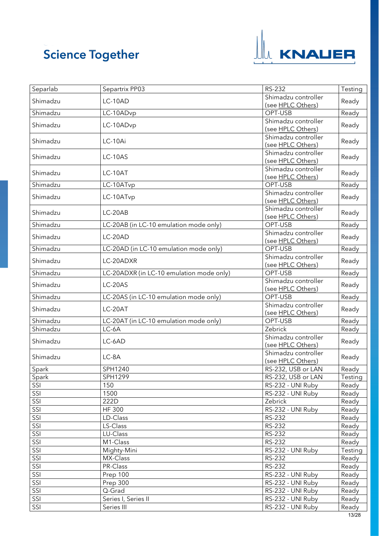

| Separlab | Separtrix PP03                           | RS-232                                   | Testing |
|----------|------------------------------------------|------------------------------------------|---------|
| Shimadzu | $LC-10AD$                                | Shimadzu controller                      | Ready   |
| Shimadzu | LC-10ADvp                                | (see HPLC Others)<br>OPT-USB             | Ready   |
|          |                                          | Shimadzu controller                      |         |
| Shimadzu | LC-10ADvp                                | (see HPLC Others)                        | Ready   |
| Shimadzu | LC-10Ai                                  | Shimadzu controller<br>(see HPLC Others) | Ready   |
| Shimadzu | LC-10AS                                  | Shimadzu controller                      | Ready   |
| Shimadzu | LC-10AT                                  | (see HPLC Others)<br>Shimadzu controller | Ready   |
|          |                                          | (see HPLC Others)                        |         |
| Shimadzu | LC-10ATvp                                | OPT-USB                                  | Ready   |
| Shimadzu | LC-10ATvp                                | Shimadzu controller<br>(see HPLC Others) | Ready   |
| Shimadzu | LC-20AB                                  | Shimadzu controller                      | Ready   |
|          |                                          | (see HPLC Others)                        |         |
| Shimadzu | LC-20AB (in LC-10 emulation mode only)   | OPT-USB                                  | Ready   |
| Shimadzu | LC-20AD                                  | Shimadzu controller<br>(see HPLC Others) | Ready   |
| Shimadzu | LC-20AD (in LC-10 emulation mode only)   | OPT-USB                                  | Ready   |
| Shimadzu | LC-20ADXR                                | Shimadzu controller<br>(see HPLC Others) | Ready   |
| Shimadzu | LC-20ADXR (in LC-10 emulation mode only) | OPT-USB                                  | Ready   |
| Shimadzu | LC-20AS                                  | Shimadzu controller<br>(see HPLC Others) | Ready   |
| Shimadzu | LC-20AS (in LC-10 emulation mode only)   | OPT-USB                                  | Ready   |
| Shimadzu | LC-20AT                                  | Shimadzu controller                      | Ready   |
|          |                                          | (see HPLC Others)                        |         |
| Shimadzu | LC-20AT (in LC-10 emulation mode only)   | OPT-USB                                  | Ready   |
| Shimadzu | LC-6A                                    | Zebrick                                  | Ready   |
| Shimadzu | LC-6AD                                   | Shimadzu controller<br>(see HPLC Others) | Ready   |
| Shimadzu | LC-8A                                    | Shimadzu controller<br>(see HPLC Others) | Ready   |
| Spark    | SPH1240                                  | RS-232, USB or LAN                       | Ready   |
| Spark    | SPH1299                                  | RS-232, USB or LAN                       | Testing |
| SSI      | 150                                      | RS-232 - UNI Ruby                        | Ready   |
| SSI      | 1500                                     | RS-232 - UNI Ruby                        | Ready   |
| SSI      | 222D                                     | Zebrick                                  | Ready   |
| SSI      | <b>HF 300</b>                            | RS-232 - UNI Ruby                        | Ready   |
| SSI      | LD-Class                                 | RS-232                                   | Ready   |
| SSI      | LS-Class                                 | RS-232                                   | Ready   |
| SSI      | LU-Class                                 | RS-232                                   | Ready   |
| SSI      | M1-Class                                 | RS-232                                   | Ready   |
| SSI      | Mighty-Mini                              | RS-232 - UNI Ruby                        | Testing |
| SSI      | MX-Class                                 | RS-232                                   | Ready   |
| SSI      | PR-Class                                 | RS-232                                   | Ready   |
| SSI      | Prep 100                                 | RS-232 - UNI Ruby                        | Ready   |
| SSI      | Prep 300                                 | RS-232 - UNI Ruby                        | Ready   |
| SSI      | Q-Grad                                   | RS-232 - UNI Ruby                        | Ready   |
| SSI      | Series I, Series II                      | RS-232 - UNI Ruby                        | Ready   |
| SSI      | Series III                               | RS-232 - UNI Ruby                        | Ready   |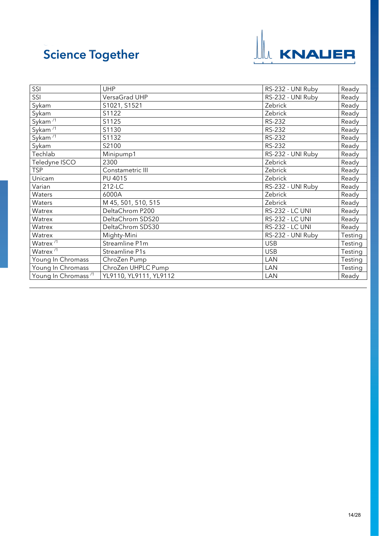

<span id="page-13-0"></span>

| SSI                             | <b>UHP</b>             | RS-232 - UNI Ruby      | Ready   |
|---------------------------------|------------------------|------------------------|---------|
| SSI                             | VersaGrad UHP          | RS-232 - UNI Ruby      | Ready   |
| Sykam                           | S1021, S1521           | Zebrick                | Ready   |
| Sykam                           | S1122                  | Zebrick                | Ready   |
| Sykam $\sqrt{1}$                | S1125                  | <b>RS-232</b>          | Ready   |
| Sykam $\overline{11}$           | S1130                  | <b>RS-232</b>          | Ready   |
| Sykam $\overline{11}$           | S1132                  | <b>RS-232</b>          | Ready   |
| Sykam                           | S2100                  | RS-232                 | Ready   |
| Techlab                         | Minipump1              | RS-232 - UNI Ruby      | Ready   |
| Teledyne ISCO                   | 2300                   | Zebrick                | Ready   |
| <b>TSP</b>                      | Constametric III       | Zebrick                | Ready   |
| Unicam                          | PU 4015                | Zebrick                | Ready   |
| Varian                          | 212-LC                 | RS-232 - UNI Ruby      | Ready   |
| Waters                          | 6000A                  | Zebrick                | Ready   |
| Waters                          | M 45, 501, 510, 515    | Zebrick                | Ready   |
| Watrex                          | DeltaChrom P200        | <b>RS-232 - LC UNI</b> | Ready   |
| Watrex                          | DeltaChrom SDS20       | <b>RS-232 - LC UNI</b> | Ready   |
| Watrex                          | DeltaChrom SDS30       | <b>RS-232 - LC UNI</b> | Ready   |
| Watrex                          | Mighty-Mini            | RS-232 - UNI Ruby      | Testing |
| Watrex <sup>/1</sup>            | Streamline P1m         | <b>USB</b>             | Testing |
| Watrex <sup>/1</sup>            | Streamline P1s         | <b>USB</b>             | Testing |
| Young In Chromass               | ChroZen Pump           | <b>LAN</b>             | Testing |
| Young In Chromass               | ChroZen UHPLC Pump     | <b>LAN</b>             | Testing |
| Young In Chromass <sup>71</sup> | YL9110, YL9111, YL9112 | LAN                    | Ready   |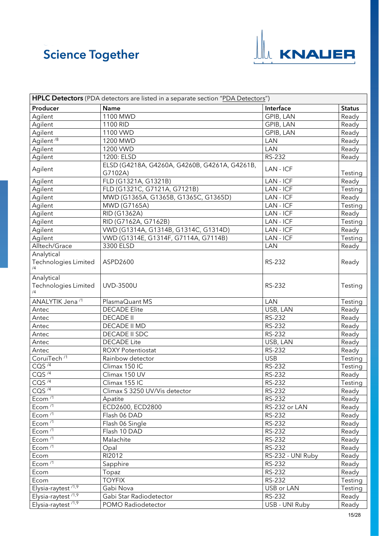

<span id="page-14-1"></span><span id="page-14-0"></span>

| <b>HPLC Detectors</b> (PDA detectors are listed in a separate section "PDA Detectors") |                                                          |                   |               |
|----------------------------------------------------------------------------------------|----------------------------------------------------------|-------------------|---------------|
| Producer                                                                               | <b>Name</b>                                              | Interface         | <b>Status</b> |
| Agilent                                                                                | 1100 MWD                                                 | GPIB, LAN         | Ready         |
| Agilent                                                                                | 1100 RID                                                 | GPIB, LAN         | Ready         |
| Agilent                                                                                | 1100 VWD                                                 | GPIB, LAN         | Ready         |
| Agilent <sup>/8</sup>                                                                  | 1200 MWD                                                 | <b>LAN</b>        | Ready         |
| Agilent                                                                                | 1200 VWD                                                 | <b>LAN</b>        | Ready         |
| Agilent                                                                                | 1200: ELSD                                               | RS-232            | Ready         |
| Agilent                                                                                | ELSD (G4218A, G4260A, G4260B, G4261A, G4261B,<br>G7102A) | LAN - ICF         | Testing       |
| Agilent                                                                                | FLD (G1321A, G1321B)                                     | LAN - ICF         | Ready         |
| Agilent                                                                                | FLD (G1321C, G7121A, G7121B)                             | LAN - ICF         | Testing       |
| Agilent                                                                                | MWD (G1365A, G1365B, G1365C, G1365D)                     | LAN - ICF         | Ready         |
| Agilent                                                                                | MWD (G7165A)                                             | LAN - ICF         | Testing       |
| Agilent                                                                                | RID (G1362A)                                             | LAN - ICF         | Ready         |
| Agilent                                                                                | RID (G7162A, G7162B)                                     | LAN - ICF         | Testing       |
| Agilent                                                                                | VWD (G1314A, G1314B, G1314C, G1314D)                     | LAN - ICF         | Ready         |
| Agilent                                                                                | VWD (G1314E, G1314F, G7114A, G7114B)                     | LAN - ICF         | Testing       |
| Alltech/Grace                                                                          | 3300 ELSD                                                | <b>LAN</b>        | Ready         |
| Analytical<br>Technologies Limited<br>/4                                               | ASPD2600                                                 | RS-232            | Ready         |
| Analytical<br>Technologies Limited<br>/4                                               | UVD-3500U                                                | RS-232            | Testing       |
| ANALYTIK Jena <sup>/1</sup>                                                            | PlasmaQuant MS                                           | <b>LAN</b>        | Testing       |
| Antec                                                                                  | <b>DECADE Elite</b>                                      | USB, LAN          | Ready         |
| Antec                                                                                  | <b>DECADE II</b>                                         | RS-232            | Ready         |
| Antec                                                                                  | DECADE II MD                                             | RS-232            | Ready         |
| Antec                                                                                  | DECADE II SDC                                            | RS-232            | Ready         |
| Antec                                                                                  | <b>DECADE Lite</b>                                       | USB, LAN          | Ready         |
| Antec                                                                                  | <b>ROXY Potentiostat</b>                                 | RS-232            | Ready         |
| CoruiTech <sup>/1</sup>                                                                | Rainbow detector                                         | <b>USB</b>        | Testing       |
| CO <sup>74</sup>                                                                       | Climax 150 IC                                            | RS-232            | Testing       |
| COS <sup>74</sup>                                                                      | Climax 150 UV                                            | RS-232            | Ready         |
| COS <sup>14</sup>                                                                      | Climax 155 IC                                            | RS-232            | Testing       |
| CQS $^{14}$                                                                            | Climax S 3250 UV/Vis detector                            | RS-232            | Ready         |
| Ecom $\overline{11}$                                                                   | Apatite                                                  | <b>RS-232</b>     | Ready         |
| Ecom $\sqrt{1}$                                                                        | ECD2600, ECD2800                                         | RS-232 or LAN     | Ready         |
| Ecom <sup>/1</sup>                                                                     | Flash 06 DAD                                             | RS-232            | Ready         |
| Ecom $11$                                                                              | Flash 06 Single                                          | RS-232            | Ready         |
| Ecom <sup>/1</sup>                                                                     | Flash 10 DAD                                             | RS-232            | Ready         |
| Ecom <sup>/1</sup>                                                                     | Malachite                                                | RS-232            | Ready         |
| Ecom $\overline{11}$                                                                   | Opal                                                     | RS-232            | Ready         |
| Ecom                                                                                   | RI2012                                                   | RS-232 - UNI Ruby | Ready         |
| Ecom $\overline{11}$                                                                   | Sapphire                                                 | <b>RS-232</b>     | Ready         |
| Ecom                                                                                   | Topaz                                                    | RS-232            | Ready         |
| Ecom                                                                                   | <b>TOYFIX</b>                                            | RS-232            | Testing       |
| Elysia-raytest <sup>/1,9</sup>                                                         | Gabi Nova                                                | USB or LAN        | Testing       |
| Elysia-raytest <sup>/1,9</sup>                                                         | Gabi Star Radiodetector                                  | RS-232            | Ready         |
| Elysia-raytest $1,9$                                                                   | POMO Radiodetector                                       | USB - UNI Ruby    | Ready         |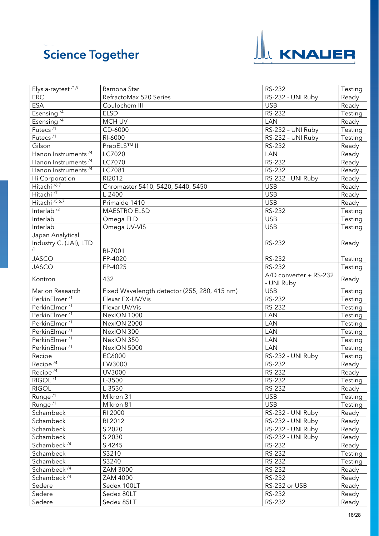

<span id="page-15-2"></span><span id="page-15-1"></span><span id="page-15-0"></span>

| Elysia-raytest <sup>/1,9</sup>   | Ramona Star                                  | RS-232                  | Testing |
|----------------------------------|----------------------------------------------|-------------------------|---------|
| <b>ERC</b>                       | RefractoMax 520 Series                       | RS-232 - UNI Ruby       | Ready   |
| <b>ESA</b>                       | Coulochem III                                | <b>USB</b>              | Ready   |
| Esensing <sup>/4</sup>           | <b>ELSD</b>                                  | RS-232                  | Testing |
| Esensing <sup>/4</sup>           | <b>MCH UV</b>                                | LAN                     | Ready   |
| Futecs $\sqrt{1}$                | CD-6000                                      | RS-232 - UNI Ruby       | Testing |
| Futecs <sup>/1</sup>             | RI-6000                                      | RS-232 - UNI Ruby       | Testing |
| Gilson                           | PrepELS™ II                                  | <b>RS-232</b>           | Ready   |
| Hanon Instruments <sup>/4</sup>  | LC7020                                       | LAN                     | Ready   |
| Hanon Instruments <sup>/4</sup>  | LC7070                                       | RS-232                  | Ready   |
| Hanon Instruments <sup>/4</sup>  | LC7081                                       | <b>RS-232</b>           | Ready   |
| Hi Corporation                   | RI2012                                       | RS-232 - UNI Ruby       | Ready   |
| Hitachi <sup>/6,7</sup>          | Chromaster 5410, 5420, 5440, 5450            | <b>USB</b>              | Ready   |
| Hitachi <sup>77</sup>            | L-2400                                       | <b>USB</b>              | Ready   |
| Hitachi <sup>/5,6,7</sup>        | Primaide 1410                                | <b>USB</b>              | Ready   |
| Interlab <sup>73</sup>           | <b>MAESTRO ELSD</b>                          | RS-232                  | Testing |
| Interlab                         | Omega FLD                                    | <b>USB</b>              | Testing |
| Interlab                         | Omega UV-VIS                                 | <b>USB</b>              | Testing |
| Japan Analytical                 |                                              |                         |         |
| Industry C. (JAI), LTD           |                                              | RS-232                  | Ready   |
| /1                               | <b>RI-700II</b>                              |                         |         |
| <b>JASCO</b>                     | FP-4020                                      | RS-232                  | Testing |
| <b>JASCO</b>                     | FP-4025                                      | <b>RS-232</b>           | Testing |
|                                  |                                              | A/D converter + RS-232  |         |
| Kontron                          | 432                                          | - UNI Ruby              | Ready   |
| Marion Research                  | Fixed Wavelength detector (255, 280, 415 nm) | <b>USB</b>              | Testing |
| PerkinElmer <sup>/1</sup>        | Flexar FX-UV/Vis                             | <b>RS-232</b>           | Testing |
| PerkinElmer <sup>/1</sup>        | Flexar UV/Vis                                | RS-232                  | Testing |
| PerkinElmer <sup>/1</sup>        | NexION 1000                                  | LAN                     | Testing |
| PerkinElmer <sup>/1</sup>        | NexION 2000                                  | LAN                     | Testing |
| PerkinElmer <sup>/1</sup>        | NexION 300                                   | LAN                     | Testing |
| PerkinElmer <sup>/1</sup>        | NexION 350                                   | LAN                     | Testing |
| PerkinElmer <sup>/1</sup>        | NexION 5000                                  | LAN                     | Testing |
| Recipe                           | EC6000                                       | RS-232 - UNI Ruby       | Testing |
| Recipe <sup><math>4</math></sup> | FW3000                                       | <b>RS-232</b>           | Ready   |
| Recipe $/4$                      | UV3000                                       | RS-232                  | Ready   |
| RIGOL <sup>71</sup>              | L-3500                                       | <b>RS-232</b>           | Testing |
| <b>RIGOL</b>                     | L-3530                                       | RS-232                  | Ready   |
| Runge <sup>/1</sup>              | Mikron 31                                    | <b>USB</b>              | Testing |
| Runge <sup>71</sup>              | Mikron 81                                    | <b>USB</b>              | Testing |
| Schambeck                        | RI 2000                                      | RS-232 - UNI Ruby       | Ready   |
| Schambeck                        | RI 2012                                      | RS-232 - UNI Ruby       | Ready   |
| Schambeck                        | S 2020                                       | RS-232 - UNI Ruby       | Ready   |
| Schambeck                        | S 2030                                       | RS-232 - UNI Ruby       |         |
| Schambeck <sup>/4</sup>          |                                              |                         | Ready   |
|                                  | S 4245                                       | <b>RS-232</b><br>RS-232 | Ready   |
| Schambeck                        | S3210<br>S3240                               | RS-232                  | Testing |
| Schambeck                        |                                              |                         | Testing |
| Schambeck <sup>/4</sup>          | ZAM 3000                                     | RS-232                  | Ready   |
| Schambeck <sup>/4</sup>          | ZAM 4000                                     | RS-232                  | Ready   |
| Sedere                           | Sedex 100LT                                  | RS-232 or USB           | Ready   |
| Sedere                           | Sedex 80LT                                   | RS-232                  | Ready   |
| Sedere                           | Sedex 85LT                                   | RS-232                  | Ready   |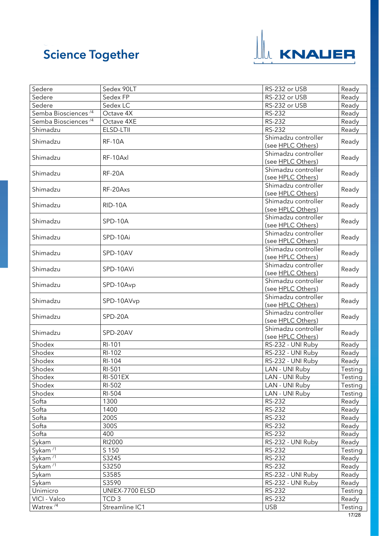

<span id="page-16-1"></span><span id="page-16-0"></span>

| Sedere                          | Sedex 90LT       | RS-232 or USB       | Ready   |
|---------------------------------|------------------|---------------------|---------|
| Sedere                          | Sedex FP         | RS-232 or USB       | Ready   |
| Sedere                          | Sedex LC         | RS-232 or USB       | Ready   |
| Semba Biosciences <sup>/4</sup> | Octave 4X        | RS-232              | Ready   |
| Semba Biosciences <sup>/4</sup> | Octave 4XE       | <b>RS-232</b>       | Ready   |
| Shimadzu                        | ELSD-LTII        | RS-232              | Ready   |
| Shimadzu                        | <b>RF-10A</b>    | Shimadzu controller |         |
|                                 |                  | (see HPLC Others)   | Ready   |
| Shimadzu                        |                  | Shimadzu controller |         |
|                                 | RF-10Axl         | (see HPLC Others)   | Ready   |
| Shimadzu                        | <b>RF-20A</b>    | Shimadzu controller | Ready   |
|                                 |                  | (see HPLC Others)   |         |
|                                 | RF-20Axs         | Shimadzu controller |         |
| Shimadzu                        |                  | (see HPLC Others)   | Ready   |
|                                 |                  | Shimadzu controller |         |
| Shimadzu                        | RID-10A          | (see HPLC Others)   | Ready   |
|                                 |                  | Shimadzu controller |         |
| Shimadzu                        | SPD-10A          | (see HPLC Others)   | Ready   |
|                                 |                  | Shimadzu controller |         |
| Shimadzu                        | SPD-10Ai         | (see HPLC Others)   | Ready   |
|                                 |                  | Shimadzu controller |         |
| Shimadzu                        | SPD-10AV         | (see HPLC Others)   | Ready   |
|                                 |                  | Shimadzu controller |         |
| Shimadzu                        | SPD-10AVi        | (see HPLC Others)   | Ready   |
|                                 |                  | Shimadzu controller |         |
| Shimadzu                        | SPD-10Avp        | (see HPLC Others)   | Ready   |
|                                 |                  | Shimadzu controller |         |
| Shimadzu                        | SPD-10AVvp       | (see HPLC Others)   | Ready   |
|                                 |                  | Shimadzu controller |         |
| Shimadzu                        | SPD-20A          | (see HPLC Others)   | Ready   |
|                                 |                  | Shimadzu controller |         |
| Shimadzu                        | SPD-20AV         | (see HPLC Others)   | Ready   |
| Shodex                          | RI-101           | RS-232 - UNI Ruby   | Ready   |
| Shodex                          | RI-102           | RS-232 - UNI Ruby   | Ready   |
| Shodex                          | RI-104           | RS-232 - UNI Ruby   | Ready   |
| Shodex                          | RI-501           | LAN - UNI Ruby      | Testing |
| Shodex                          | <b>RI-501EX</b>  | LAN - UNI Ruby      | Testing |
| Shodex                          | RI-502           | LAN - UNI Ruby      | Testing |
| Shodex                          | RI-504           | LAN - UNI Ruby      | Testing |
| Softa                           | 1300             | RS-232              | Ready   |
| Softa                           | 1400             | RS-232              | Ready   |
| Softa                           | 200S             | RS-232              | Ready   |
|                                 | 300S             | RS-232              |         |
| Softa<br>Softa                  | 400              | RS-232              | Ready   |
|                                 |                  |                     | Ready   |
| Sykam                           | RI2000           | RS-232 - UNI Ruby   | Ready   |
| Sykam $\overline{11}$           | S 150            | RS-232              | Testing |
| Sykam <sup>/1</sup>             | S3245            | RS-232              | Ready   |
| Sykam $\sqrt{1}$                | S3250            | RS-232              | Ready   |
| Sykam                           | S3585            | RS-232 - UNI Ruby   | Ready   |
| Sykam                           | S3590            | RS-232 - UNI Ruby   | Ready   |
| Unimicro                        | UNIEX-7700 ELSD  | RS-232              | Testing |
| VICI - Valco                    | TCD <sub>3</sub> | RS-232              | Ready   |
| Watrex <sup>/4</sup>            | Streamline IC1   | <b>USB</b>          | Testing |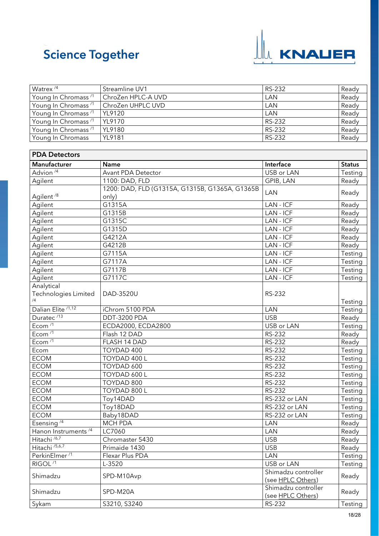

٦

<span id="page-17-0"></span>

| Watrex <sup>/4</sup>            | Streamline UV1                                 | RS-232              | Ready         |
|---------------------------------|------------------------------------------------|---------------------|---------------|
| Young In Chromass <sup>/1</sup> | ChroZen HPLC-A UVD                             | LAN                 | Ready         |
| Young In Chromass <sup>/1</sup> | ChroZen UHPLC UVD                              | LAN                 | Ready         |
| Young In Chromass <sup>/1</sup> | YL9120                                         | LAN                 | Ready         |
| Young In Chromass <sup>/1</sup> | YL9170                                         | RS-232              | Ready         |
| Young In Chromass <sup>/1</sup> | YL9180                                         | RS-232              | Ready         |
| Young In Chromass               | <b>YL9181</b>                                  | RS-232              | Ready         |
|                                 |                                                |                     |               |
| <b>PDA Detectors</b>            |                                                |                     |               |
| Manufacturer                    | Name                                           | Interface           | <b>Status</b> |
| Advion <sup>/4</sup>            | Avant PDA Detector                             | USB or LAN          | Testing       |
|                                 | 1100: DAD, FLD                                 | GPIB, LAN           |               |
| Agilent                         | 1200: DAD, FLD (G1315A, G1315B, G1365A, G1365B |                     | Ready         |
| Agilent <sup>/8</sup>           |                                                | <b>LAN</b>          | Ready         |
|                                 | only)<br>G1315A                                | LAN - ICF           |               |
| Agilent                         |                                                | LAN - ICF           | Ready         |
| Agilent                         | G1315B                                         |                     | Ready         |
| Agilent                         | G1315C                                         | $LAN - ICF$         | Ready         |
| Agilent                         | G1315D                                         | LAN - ICF           | Ready         |
| Agilent                         | G4212A                                         | LAN - ICF           | Ready         |
| Agilent                         | G4212B                                         | LAN - ICF           | Ready         |
| Agilent                         | G7115A                                         | LAN - ICF           | Testing       |
| Agilent                         | G7117A                                         | LAN - ICF           | Testing       |
| Agilent                         | G7117B                                         | LAN - ICF           | Testing       |
| Agilent                         | G7117C                                         | LAN - ICF           | Testing       |
| Analytical                      |                                                |                     |               |
| Technologies Limited            | DAD-3520U                                      | RS-232              |               |
|                                 |                                                |                     | Testing       |
| Dalian Elite <sup>/1,12</sup>   | iChrom 5100 PDA                                | LAN                 | Testing       |
| Duratec <sup>/13</sup>          | DDT-3200 PDA                                   | <b>USB</b>          | Ready         |
| Ecom <sup>/1</sup>              | ECDA2000, ECDA2800                             | USB or LAN          | Testing       |
| Ecom $\overline{11}$            | Flash 12 DAD                                   | <b>RS-232</b>       | Ready         |
| Ecom <sup>/1</sup>              | FLASH 14 DAD                                   | RS-232              | Ready         |
| Ecom                            | TOYDAD 400                                     | RS-232              | Testing       |
| <b>ECOM</b>                     | TOYDAD 400 L                                   | RS-232              | Testing       |
| <b>ECOM</b>                     | TOYDAD 600                                     | RS-232              | Testing       |
| <b>ECOM</b>                     | TOYDAD 600 L                                   | RS-232              | Testing       |
| <b>ECOM</b>                     | TOYDAD 800                                     | <b>RS-232</b>       | Testing       |
| <b>ECOM</b>                     | TOYDAD 800 L                                   | RS-232              | Testing       |
| <b>ECOM</b>                     | Toy14DAD                                       | RS-232 or LAN       | Testing       |
| <b>ECOM</b>                     | Toy18DAD                                       | RS-232 or LAN       | Testing       |
| <b>ECOM</b>                     | Baby18DAD                                      | RS-232 or LAN       | Testing       |
| Esensing $4$                    | <b>MCH PDA</b>                                 | LAN                 | Ready         |
| Hanon Instruments <sup>/4</sup> | LC7060                                         | LAN                 | Ready         |
| Hitachi <sup>/6,7</sup>         | Chromaster 5430                                | <b>USB</b>          | Ready         |
| Hitachi <sup>/5,6,7</sup>       | Primaide 1430                                  | <b>USB</b>          | Ready         |
| PerkinElmer <sup>/1</sup>       | Flexar Plus PDA                                | <b>LAN</b>          | Testing       |
| RIGOL <sup>/1</sup>             | L-3520                                         | USB or LAN          | Testing       |
|                                 |                                                | Shimadzu controller |               |
| Shimadzu                        | SPD-M10Avp                                     | (see HPLC Others)   | Ready         |
|                                 |                                                | Shimadzu controller |               |
| Shimadzu                        | SPD-M20A                                       | (see HPLC Others)   | Ready         |
| Sykam                           | S3210, S3240                                   | RS-232              | Testing       |
|                                 |                                                |                     |               |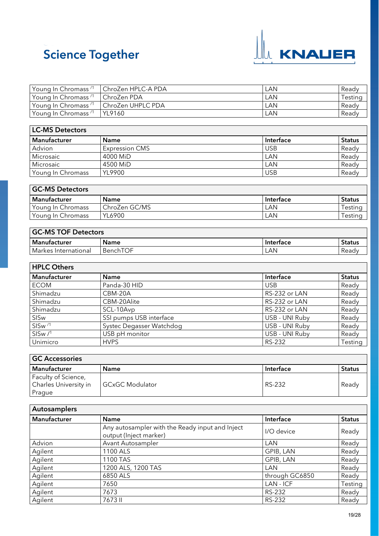

| Young In Chromass <sup>71</sup> | ChroZen HPLC-A PDA | LAN.       | Ready   |
|---------------------------------|--------------------|------------|---------|
| Young In Chromass <sup>/1</sup> | ChroZen PDA        | LAN        | Testing |
| Young In Chromass $^{\prime1}$  | ChroZen UHPLC PDA  | <b>LAN</b> | Ready   |
| Young In Chromass <sup>/1</sup> | YL9160             | LAN        | Ready   |

<span id="page-18-0"></span>

| <b>LC-MS Detectors</b> |                       |            |               |
|------------------------|-----------------------|------------|---------------|
| l Manufacturer         | <b>Name</b>           | Interface  | <b>Status</b> |
| Advion                 | <b>Expression CMS</b> | <b>USB</b> | Ready         |
| Microsaic              | 4000 MiD              | LAN        | Ready         |
| Microsaic              | 4500 MiD              | LAN        | Ready         |
| Young In Chromass      | YL9900                | <b>USB</b> | Ready         |

| <b>GC-MS Detectors</b> |               |           |               |
|------------------------|---------------|-----------|---------------|
| Manufacturer           | <b>Name</b>   | Interface | <b>Status</b> |
| Young In Chromass      | ChroZen GC/MS | LAN       | Testina       |
| Young In Chromass      | YL6900        | LAN       | Testinc       |

<span id="page-18-1"></span>

| <b>GC-MS TOF Detectors</b> |             |           |               |
|----------------------------|-------------|-----------|---------------|
| Manufacturer               | <b>Name</b> | Interface | <b>Status</b> |
| Markes International       | BenchTOF    | LAN.      | Ready         |

<span id="page-18-2"></span>

| <b>HPLC Others</b> |                          |                |               |
|--------------------|--------------------------|----------------|---------------|
| Manufacturer       | <b>Name</b>              | Interface      | <b>Status</b> |
| <b>ECOM</b>        | Panda-30 HID             | <b>USB</b>     | Ready         |
| Shimadzu           | CBM-20A                  | RS-232 or LAN  | Ready         |
| Shimadzu           | CBM-20Alite              | RS-232 or LAN  | Ready         |
| Shimadzu           | SCL-10Avp                | RS-232 or LAN  | Ready         |
| SISw               | SSI pumps USB interface  | USB - UNI Ruby | Ready         |
| SISw <sup>/1</sup> | Systec Degasser Watchdog | USB - UNI Ruby | Ready         |
| SISw/1             | USB pH monitor           | USB - UNI Ruby | Ready         |
| Unimicro           | <b>HVPS</b>              | RS-232         | Testing       |

<span id="page-18-3"></span>

| <b>GC Accessories</b>        |                 |           |               |
|------------------------------|-----------------|-----------|---------------|
| Manufacturer                 | <b>Name</b>     | Interface | <b>Status</b> |
| Faculty of Science,          |                 |           |               |
| <b>Charles University in</b> | GCxGC Modulator | RS-232    | Readv         |
| Prague                       |                 |           |               |

<span id="page-18-4"></span>

| Autosamplers |                                                                           |                |               |
|--------------|---------------------------------------------------------------------------|----------------|---------------|
| Manufacturer | <b>Name</b>                                                               | Interface      | <b>Status</b> |
|              | Any autosampler with the Ready input and Inject<br>output (Inject marker) | I/O device     | Ready         |
| Advion       | Avant Autosampler                                                         | LAN            | Ready         |
| Agilent      | 1100 ALS                                                                  | GPIB, LAN      | Ready         |
| Agilent      | 1100 TAS                                                                  | GPIB, LAN      | Ready         |
| Agilent      | 1200 ALS, 1200 TAS                                                        | LAN            | Ready         |
| Agilent      | 6850 ALS                                                                  | through GC6850 | Ready         |
| Agilent      | 7650                                                                      | LAN - ICF      | Testing       |
| Agilent      | 7673                                                                      | RS-232         | Ready         |
| Agilent      | 7673 II                                                                   | RS-232         | Ready         |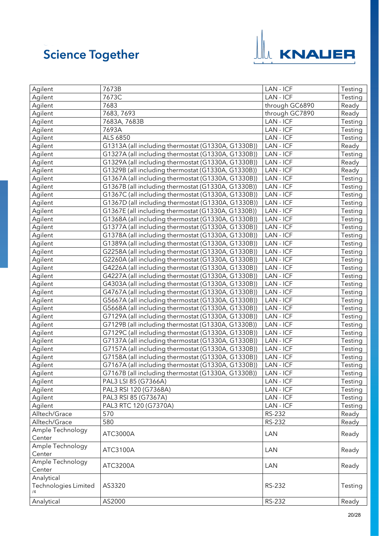

| Agilent              | 7673B                                              | LAN - ICF      | Testing |
|----------------------|----------------------------------------------------|----------------|---------|
| Agilent              | 7673C                                              | LAN - ICF      | Testing |
| Agilent              | 7683                                               | through GC6890 | Ready   |
| Agilent              | 7683, 7693                                         | through GC7890 | Ready   |
| Agilent              | 7683A, 7683B                                       | LAN - ICF      | Testing |
| Agilent              | 7693A                                              | LAN - ICF      | Testing |
| Agilent              | ALS 6850                                           | LAN - ICF      | Testing |
| Agilent              | G1313A (all including thermostat (G1330A, G1330B)) | LAN - ICF      | Ready   |
| Agilent              | G1327A (all including thermostat (G1330A, G1330B)) | LAN - ICF      | Testing |
| Agilent              | G1329A (all including thermostat (G1330A, G1330B)) | LAN - ICF      | Ready   |
| Agilent              | G1329B (all including thermostat (G1330A, G1330B)) | LAN - ICF      | Ready   |
| Agilent              | G1367A (all including thermostat (G1330A, G1330B)) | LAN - ICF      | Testing |
| Agilent              | G1367B (all including thermostat (G1330A, G1330B)) | LAN - ICF      | Testing |
| Agilent              | G1367C (all including thermostat (G1330A, G1330B)) | LAN - ICF      | Testing |
| Agilent              | G1367D (all including thermostat (G1330A, G1330B)) | LAN - ICF      | Testing |
| Agilent              | G1367E (all including thermostat (G1330A, G1330B)) | LAN - ICF      | Testing |
| Agilent              | G1368A (all including thermostat (G1330A, G1330B)) | LAN - ICF      | Testing |
| Agilent              | G1377A (all including thermostat (G1330A, G1330B)) | LAN - ICF      | Testing |
| Agilent              | G1378A (all including thermostat (G1330A, G1330B)) | LAN - ICF      | Testing |
| Agilent              | G1389A (all including thermostat (G1330A, G1330B)) | LAN - ICF      | Testing |
| Agilent              | G2258A (all including thermostat (G1330A, G1330B)) | LAN - ICF      | Testing |
| Agilent              | G2260A (all including thermostat (G1330A, G1330B)) | LAN - ICF      | Testing |
| Agilent              | G4226A (all including thermostat (G1330A, G1330B)) | LAN - ICF      | Testing |
| Agilent              | G4227A (all including thermostat (G1330A, G1330B)) | LAN - ICF      | Testing |
| Agilent              | G4303A (all including thermostat (G1330A, G1330B)) | LAN - ICF      | Testing |
| Agilent              | G4767A (all including thermostat (G1330A, G1330B)) | LAN - ICF      | Testing |
| Agilent              | G5667A (all including thermostat (G1330A, G1330B)) | LAN - ICF      | Testing |
| Agilent              | G5668A (all including thermostat (G1330A, G1330B)) | LAN - ICF      | Testing |
| Agilent              | G7129A (all including thermostat (G1330A, G1330B)) | LAN - ICF      | Testing |
| Agilent              | G7129B (all including thermostat (G1330A, G1330B)) | LAN - ICF      | Testing |
| Agilent              | G7129C (all including thermostat (G1330A, G1330B)) | LAN - ICF      | Testing |
| Agilent              | G7137A (all including thermostat (G1330A, G1330B)) | LAN - ICF      | Testing |
| Agilent              | G7157A (all including thermostat (G1330A, G1330B)) | LAN - ICF      | Testing |
| Agilent              | G7158A (all including thermostat (G1330A, G1330B)) | LAN - ICF      | Testing |
| Agilent              | G7167A (all including thermostat (G1330A, G1330B)) | LAN - ICF      | Testing |
| Agilent              | G7167B (all including thermostat (G1330A, G1330B)) | LAN - ICF      | Testing |
| Agilent              | PAL3 LSI 85 (G7366A)                               | LAN - ICF      | Testing |
| Agilent              | PAL3 RSI 120 (G7368A)                              | LAN - ICF      | Testing |
| Agilent              | PAL3 RSI 85 (G7367A)                               | LAN - ICF      | Testing |
| Agilent              | PAL3 RTC 120 (G7370A)                              | LAN - ICF      | Testing |
| Alltech/Grace        | 570                                                | RS-232         | Ready   |
| Alltech/Grace        | 580                                                | RS-232         | Ready   |
| Ample Technology     |                                                    |                |         |
| Center               | ATC3000A                                           | <b>LAN</b>     | Ready   |
| Ample Technology     |                                                    |                |         |
| Center               | ATC3100A                                           | <b>LAN</b>     | Ready   |
| Ample Technology     |                                                    |                |         |
| Center               | ATC3200A                                           | <b>LAN</b>     | Ready   |
| Analytical           |                                                    |                |         |
| Technologies Limited | AS3320                                             | RS-232         | Testing |
|                      |                                                    |                |         |
| Analytical           | AS2000                                             | RS-232         | Ready   |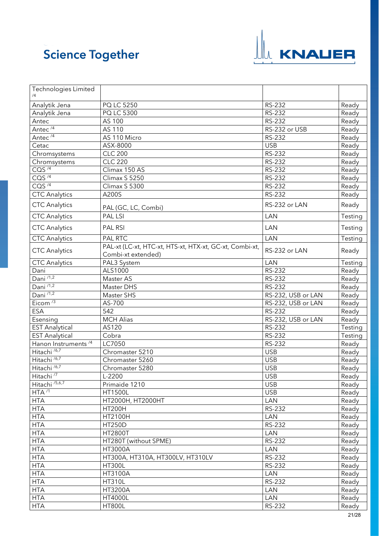

| Technologies Limited             |                                                                               |                    |         |
|----------------------------------|-------------------------------------------------------------------------------|--------------------|---------|
| Analytik Jena                    | PQ LC 5250                                                                    | RS-232             | Ready   |
| Analytik Jena                    | PQ LC 5300                                                                    | <b>RS-232</b>      | Ready   |
| Antec                            | AS 100                                                                        | <b>RS-232</b>      | Ready   |
| Antec $4$                        | AS 110                                                                        | RS-232 or USB      | Ready   |
| Antec <sup>/4</sup>              | AS 110 Micro                                                                  | RS-232             | Ready   |
| Cetac                            | ASX-8000                                                                      | <b>USB</b>         | Ready   |
|                                  | <b>CLC 200</b>                                                                | RS-232             | Ready   |
| Chromsystems                     | <b>CLC 220</b>                                                                |                    |         |
| Chromsystems<br>CO <sup>74</sup> |                                                                               | RS-232<br>RS-232   | Ready   |
| COS <sup>74</sup>                | Climax 150 AS                                                                 |                    | Ready   |
| COS <sup>74</sup>                | Climax S 5250                                                                 | <b>RS-232</b>      | Ready   |
|                                  | Climax S 5300                                                                 | RS-232             | Ready   |
| <b>CTC Analytics</b>             | A200S                                                                         | RS-232             | Ready   |
| <b>CTC Analytics</b>             | PAL (GC, LC, Combi)                                                           | RS-232 or LAN      | Ready   |
| <b>CTC Analytics</b>             | <b>PAL LSI</b>                                                                | <b>LAN</b>         | Testing |
| <b>CTC</b> Analytics             | PAL RSI                                                                       | <b>LAN</b>         | Testing |
| <b>CTC Analytics</b>             | PAL RTC                                                                       | <b>LAN</b>         | Testing |
| <b>CTC</b> Analytics             | PAL-xt (LC-xt, HTC-xt, HTS-xt, HTX-xt, GC-xt, Combi-xt,<br>Combi-xt extended) | RS-232 or LAN      | Ready   |
| <b>CTC Analytics</b>             | PAL3 System                                                                   | LAN                | Testing |
| Dani                             | ALS1000                                                                       | $RS-232$           | Ready   |
| Dani $\overline{^{11,2}}$        | Master AS                                                                     | RS-232             | Ready   |
| Dani <sup>71,2</sup>             | Master DHS                                                                    | RS-232             | Ready   |
| Dani /1,2                        | Master SHS                                                                    | RS-232, USB or LAN | Ready   |
| Eicom <sup><math>/3</math></sup> | AS-700                                                                        | RS-232, USB or LAN | Ready   |
| <b>ESA</b>                       | 542                                                                           | RS-232             | Ready   |
| Esensing                         | <b>MCH Alias</b>                                                              | RS-232, USB or LAN | Ready   |
| <b>EST Analytical</b>            | AS120                                                                         | RS-232             | Testing |
| <b>EST Analytical</b>            | Cobra                                                                         | RS-232             | Testing |
| Hanon Instruments <sup>/4</sup>  | LC7050                                                                        | RS-232             | Ready   |
| Hitachi <sup>/6,7</sup>          | Chromaster 5210                                                               | <b>USB</b>         | Ready   |
| Hitachi <sup>/6,7</sup>          | Chromaster 5260                                                               | <b>USB</b>         | Ready   |
| Hitachi <sup>/6,7</sup>          | Chromaster 5280                                                               | <b>USB</b>         | Ready   |
| Hitachi <sup>/7</sup>            | L-2200                                                                        | <b>USB</b>         | Ready   |
| Hitachi <sup>/5,6,7</sup>        | Primaide 1210                                                                 | <b>USB</b>         | Ready   |
| HTA <sup>11</sup>                | <b>HT1500L</b>                                                                | <b>USB</b>         | Ready   |
| <b>HTA</b>                       | HT2000H, HT2000HT                                                             | <b>LAN</b>         | Ready   |
| <b>HTA</b>                       | <b>HT200H</b>                                                                 | RS-232             | Ready   |
| <b>HTA</b>                       | HT2100H                                                                       | <b>LAN</b>         | Ready   |
| <b>HTA</b>                       | <b>HT250D</b>                                                                 | RS-232             | Ready   |
| <b>HTA</b>                       | <b>HT2800T</b>                                                                | LAN                | Ready   |
| <b>HTA</b>                       | HT280T (without SPME)                                                         | <b>RS-232</b>      | Ready   |
| <b>HTA</b>                       | HT3000A                                                                       | <b>LAN</b>         | Ready   |
| <b>HTA</b>                       | HT300A, HT310A, HT300LV, HT310LV                                              | <b>RS-232</b>      | Ready   |
| <b>HTA</b>                       | <b>HT300L</b>                                                                 | RS-232             | Ready   |
| <b>HTA</b>                       | HT3100A                                                                       | LAN                | Ready   |
| <b>HTA</b>                       | <b>HT310L</b>                                                                 | RS-232             | Ready   |
| <b>HTA</b>                       | HT3200A                                                                       | LAN                | Ready   |
| <b>HTA</b>                       | <b>HT4000L</b>                                                                | <b>LAN</b>         | Ready   |
| <b>HTA</b>                       | <b>HT800L</b>                                                                 | RS-232             | Ready   |
|                                  |                                                                               |                    |         |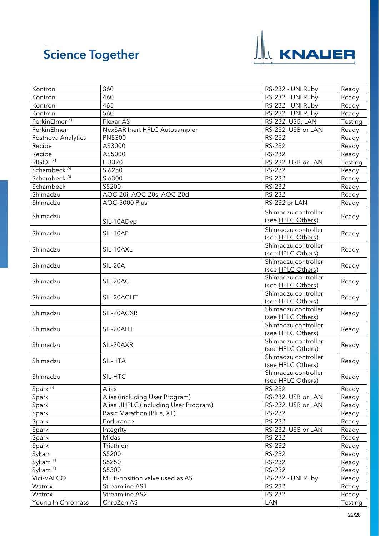

<span id="page-21-1"></span><span id="page-21-0"></span>

| Kontron                   | 360                                  | RS-232 - UNI Ruby                        | Ready   |
|---------------------------|--------------------------------------|------------------------------------------|---------|
| Kontron                   | 460                                  | RS-232 - UNI Ruby                        | Ready   |
| Kontron                   | 465                                  | RS-232 - UNI Ruby                        | Ready   |
| Kontron                   | 560                                  | RS-232 - UNI Ruby                        | Ready   |
| PerkinElmer <sup>/1</sup> | Flexar AS                            | RS-232, USB, LAN                         | Testing |
| PerkinElmer               | NexSAR Inert HPLC Autosampler        | RS-232, USB or LAN                       | Ready   |
| Postnova Analytics        | PN5300                               | RS-232                                   | Ready   |
| Recipe                    | AS3000                               | RS-232                                   | Ready   |
| Recipe                    | AS5000                               | RS-232                                   | Ready   |
| RIGOL <sup>/1</sup>       | L-3320                               | RS-232, USB or LAN                       | Testing |
| Schambeck <sup>/4</sup>   | S 6250                               | RS-232                                   | Ready   |
| Schambeck <sup>/4</sup>   | S 6300                               | RS-232                                   | Ready   |
| Schambeck                 | S5200                                | RS-232                                   | Ready   |
| Shimadzu                  | AOC-20i, AOC-20s, AOC-20d            | RS-232                                   | Ready   |
| Shimadzu                  | AOC-5000 Plus                        | RS-232 or LAN                            | Ready   |
| Shimadzu                  | SIL-10ADvp                           | Shimadzu controller<br>(see HPLC Others) | Ready   |
| Shimadzu                  | SIL-10AF                             | Shimadzu controller<br>(see HPLC Others) | Ready   |
| Shimadzu                  | SIL-10AXL                            | Shimadzu controller<br>(see HPLC Others) | Ready   |
| Shimadzu                  | SIL-20A                              | Shimadzu controller<br>(see HPLC Others) | Ready   |
| Shimadzu                  | SIL-20AC                             | Shimadzu controller<br>(see HPLC Others) | Ready   |
| Shimadzu                  | SIL-20ACHT                           | Shimadzu controller<br>(see HPLC Others) | Ready   |
| Shimadzu                  | SIL-20ACXR                           | Shimadzu controller<br>(see HPLC Others) | Ready   |
| Shimadzu                  | SIL-20AHT                            | Shimadzu controller<br>(see HPLC Others) | Ready   |
| Shimadzu                  | SIL-20AXR                            | Shimadzu controller<br>(see HPLC Others) | Ready   |
| Shimadzu                  | SIL-HTA                              | Shimadzu controller<br>(see HPLC Others) | Ready   |
| Shimadzu                  | SIL-HTC                              | Shimadzu controller<br>(see HPLC Others) | Ready   |
| Spark $\sqrt{4}$          | Alias                                | RS-232                                   | Ready   |
| Spark                     | Alias (including User Program)       | RS-232, USB or LAN                       | Ready   |
| Spark                     | Alias UHPLC (including User Program) | RS-232, USB or LAN                       | Ready   |
| Spark                     | Basic Marathon (Plus, XT)            | RS-232                                   | Ready   |
| Spark                     | Endurance                            | RS-232                                   | Ready   |
| Spark                     | Integrity                            | RS-232, USB or LAN                       | Ready   |
| Spark                     | Midas                                | RS-232                                   | Ready   |
| Spark                     | Triathlon                            | RS-232                                   | Ready   |
| Sykam                     | S5200                                | RS-232                                   | Ready   |
| Sykam $\overline{11}$     | S5250                                | RS-232                                   | Ready   |
| Sykam <sup>/1</sup>       | S5300                                | RS-232                                   | Ready   |
| Vici-VALCO                | Multi-position valve used as AS      | RS-232 - UNI Ruby                        | Ready   |
| Watrex                    | Streamline AS1                       | RS-232                                   | Ready   |
| Watrex                    | Streamline AS2                       | RS-232                                   | Ready   |
| Young In Chromass         | ChroZen AS                           | LAN                                      | Testing |
|                           |                                      |                                          |         |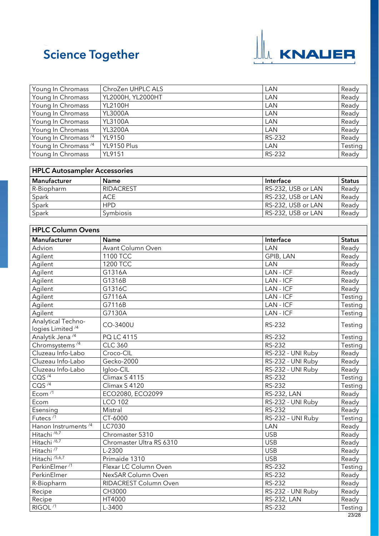

| Young In Chromass               | ChroZen UHPLC ALS | LAN    | Ready   |
|---------------------------------|-------------------|--------|---------|
| Young In Chromass               | YL2000H, YL2000HT | LAN    | Ready   |
| Young In Chromass               | <b>YL2100H</b>    | LAN    | Ready   |
| Young In Chromass               | <b>YL3000A</b>    | LAN    | Ready   |
| Young In Chromass               | <b>YL3100A</b>    | LAN    | Ready   |
| Young In Chromass               | <b>YL3200A</b>    | LAN    | Ready   |
| Young In Chromass <sup>/4</sup> | <b>YL9150</b>     | RS-232 | Ready   |
| Young In Chromass <sup>/4</sup> | YL9150 Plus       | LAN    | Testing |
| Young In Chromass               | <b>YL9151</b>     | RS-232 | Ready   |

<span id="page-22-0"></span>

| <b>HPLC Autosampler Accessories</b> |                  |                    |               |
|-------------------------------------|------------------|--------------------|---------------|
| <b>Manufacturer</b>                 | <b>Name</b>      | Interface          | <b>Status</b> |
| R-Biopharm                          | RIDACREST        | RS-232, USB or LAN | Ready         |
| Spark                               | <b>ACE</b>       | RS-232, USB or LAN | Ready         |
| Spark                               | <b>HPD</b>       | RS-232, USB or LAN | Ready         |
| Spark                               | <b>Symbiosis</b> | RS-232, USB or LAN | Ready         |

<span id="page-22-1"></span>

| <b>HPLC Column Ovens</b>        |                          |                    |               |
|---------------------------------|--------------------------|--------------------|---------------|
| Manufacturer                    | Name                     | Interface          | <b>Status</b> |
| Advion                          | Avant Column Oven        | LAN                | Ready         |
| Agilent                         | 1100 TCC                 | <b>GPIB, LAN</b>   | Ready         |
| Agilent                         | 1200 TCC                 | <b>LAN</b>         | Ready         |
| Agilent                         | G1316A                   | LAN - ICF          | Ready         |
| Agilent                         | G1316B                   | LAN - ICF          | Ready         |
| Agilent                         | G1316C                   | LAN - ICF          | Ready         |
| Agilent                         | G7116A                   | LAN - ICF          | Testing       |
| Agilent                         | G7116B                   | LAN - ICF          | Testing       |
| Agilent                         | G7130A                   | LAN - ICF          | Testing       |
| <b>Analytical Techno-</b>       | CO-3400U                 | RS-232             | Testing       |
| logies Limited <sup>/4</sup>    |                          |                    |               |
| Analytik Jena <sup>/4</sup>     | PQ LC 4115               | RS-232             | Testing       |
| Chromsystems <sup>/4</sup>      | <b>CLC 360</b>           | RS-232             | Testing       |
| Cluzeau Info-Labo               | Croco-CIL                | RS-232 - UNI Ruby  | Ready         |
| Cluzeau Info-Labo               | Gecko-2000               | RS-232 - UNI Ruby  | Ready         |
| Cluzeau Info-Labo               | Igloo-CIL                | RS-232 - UNI Ruby  | Ready         |
| COS <sup>74</sup>               | Climax S 4115            | RS-232             | Testing       |
| CQS $^{/4}$                     | Climax S 4120            | RS-232             | Testing       |
| Ecom $\overline{11}$            | ECO2080, ECO2099         | <b>RS-232, LAN</b> | Ready         |
| Ecom                            | <b>LCO 102</b>           | RS-232 - UNI Ruby  | Ready         |
| Esensing                        | Mistral                  | RS-232             | Ready         |
| Futecs $\overline{11}$          | CT-6000                  | RS-232 - UNI Ruby  | Testing       |
| Hanon Instruments <sup>/4</sup> | LC7030                   | LAN                | Ready         |
| Hitachi <sup>/6,7</sup>         | Chromaster 5310          | <b>USB</b>         | Ready         |
| Hitachi <sup>/6,7</sup>         | Chromaster Ultra RS 6310 | <b>USB</b>         | Ready         |
| Hitachi <sup>/7</sup>           | L-2300                   | <b>USB</b>         | Ready         |
| Hitachi <sup>/5,6,7</sup>       | Primaide 1310            | <b>USB</b>         | Ready         |
| PerkinElmer <sup>/1</sup>       | Flexar LC Column Oven    | RS-232             | Testing       |
| PerkinElmer                     | NexSAR Column Oven       | <b>RS-232</b>      | Ready         |
| R-Biopharm                      | RIDACREST Column Oven    | RS-232             | Ready         |
| Recipe                          | CH3000                   | RS-232 - UNI Ruby  | Ready         |
| Recipe                          | HT4000                   | <b>RS-232, LAN</b> | Ready         |
| RIGOL <sup>/1</sup>             | L-3400                   | RS-232             | Testing       |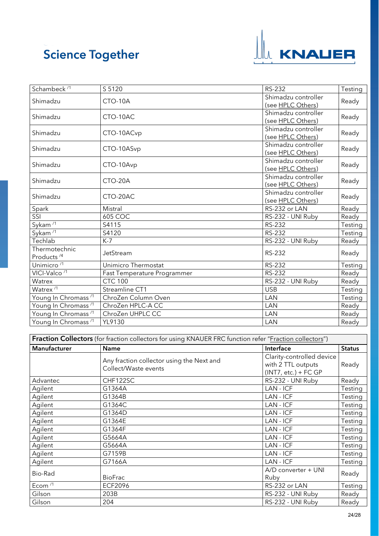

| Schambeck <sup>/1</sup>                 | S 5120                      | <b>RS-232</b>                            | Testing |
|-----------------------------------------|-----------------------------|------------------------------------------|---------|
| Shimadzu                                | CTO-10A                     | Shimadzu controller<br>(see HPLC Others) | Ready   |
| Shimadzu                                | CTO-10AC                    | Shimadzu controller<br>(see HPLC Others) | Ready   |
| Shimadzu                                | CTO-10ACvp                  | Shimadzu controller<br>(see HPLC Others) | Ready   |
| Shimadzu                                | CTO-10ASvp                  | Shimadzu controller<br>(see HPLC Others) | Ready   |
| Shimadzu                                | CTO-10Avp                   | Shimadzu controller<br>(see HPLC Others) | Ready   |
| Shimadzu                                | CTO-20A                     | Shimadzu controller<br>(see HPLC Others) | Ready   |
| Shimadzu                                | CTO-20AC                    | Shimadzu controller<br>(see HPLC Others) | Ready   |
| Spark                                   | Mistral                     | RS-232 or LAN                            | Ready   |
| SSI                                     | 605 COC                     | RS-232 - UNI Ruby                        | Ready   |
| Sykam $\overline{11}$                   | S4115                       | <b>RS-232</b>                            | Testing |
| Sykam <sup>/1</sup>                     | S4120                       | <b>RS-232</b>                            | Testing |
| Techlab                                 | $K-7$                       | RS-232 - UNI Ruby                        | Ready   |
| Thermotechnic<br>Products <sup>/4</sup> | JetStream                   | <b>RS-232</b>                            | Ready   |
| Unimicro $\overline{11}$                | Unimicro Thermostat         | <b>RS-232</b>                            | Testing |
| VICI-Valco <sup>/1</sup>                | Fast Temperature Programmer | RS-232                                   | Ready   |
| Watrex                                  | <b>CTC 100</b>              | RS-232 - UNI Ruby                        | Ready   |
| Watrex <sup>/1</sup>                    | Streamline CT1              | <b>USB</b>                               | Testing |
| Young In Chromass <sup>/1</sup>         | ChroZen Column Oven         | LAN                                      | Testing |
| Young In Chromass <sup>/1</sup>         | ChroZen HPLC-A CC           | LAN                                      | Ready   |
| Young In Chromass <sup>/1</sup>         | ChroZen UHPLC CC            | LAN                                      | Ready   |
| Young In Chromass <sup>/1</sup>         | YL9130                      | LAN                                      | Ready   |

<span id="page-23-0"></span>

| Fraction Collectors (for fraction collectors for using KNAUER FRC function refer "Fraction collectors") |                                                                   |                                                                           |               |
|---------------------------------------------------------------------------------------------------------|-------------------------------------------------------------------|---------------------------------------------------------------------------|---------------|
| Manufacturer                                                                                            | <b>Name</b>                                                       | Interface                                                                 | <b>Status</b> |
|                                                                                                         | Any fraction collector using the Next and<br>Collect/Waste events | Clarity-controlled device<br>with 2 TTL outputs<br>$(INT7, etc.) + FC GP$ | Ready         |
| Advantec                                                                                                | CHF122SC                                                          | RS-232 - UNI Ruby                                                         | Ready         |
| Agilent                                                                                                 | G1364A                                                            | LAN - ICF                                                                 | Testing       |
| Agilent                                                                                                 | G1364B                                                            | LAN - ICF                                                                 | Testing       |
| Agilent                                                                                                 | G1364C                                                            | LAN - ICF                                                                 | Testing       |
| Agilent                                                                                                 | G1364D                                                            | LAN - ICF                                                                 | Testing       |
| Agilent                                                                                                 | G1364E                                                            | LAN - ICF                                                                 | Testing       |
| Agilent                                                                                                 | G1364F                                                            | LAN - ICF                                                                 | Testing       |
| Agilent                                                                                                 | G5664A                                                            | LAN - ICF                                                                 | Testing       |
| Agilent                                                                                                 | G5664A                                                            | LAN - ICF                                                                 | Testing       |
| Agilent                                                                                                 | G7159B                                                            | LAN - ICF                                                                 | Testing       |
| Agilent                                                                                                 | G7166A                                                            | LAN - ICF                                                                 | Testing       |
| Bio-Rad                                                                                                 | <b>BioFrac</b>                                                    | A/D converter + UNI<br>Ruby                                               | Ready         |
| Ecom $\sqrt{1}$                                                                                         | <b>ECF2096</b>                                                    | RS-232 or LAN                                                             | Testing       |
| Gilson                                                                                                  | 203B                                                              | RS-232 - UNI Ruby                                                         | Ready         |
| Gilson                                                                                                  | 204                                                               | RS-232 - UNI Ruby                                                         | Ready         |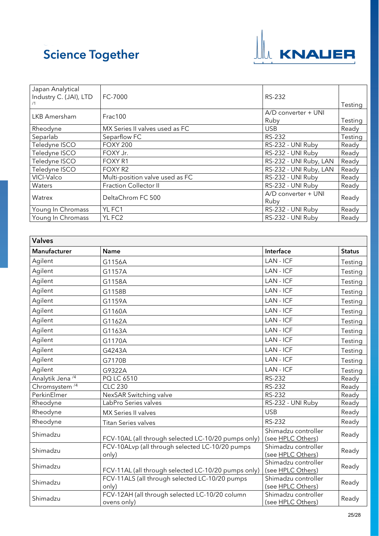

| Japan Analytical<br>Industry C. (JAI), LTD | FC-7000                         | RS-232                 |                |
|--------------------------------------------|---------------------------------|------------------------|----------------|
|                                            |                                 |                        | <b>Testing</b> |
| LKB Amersham                               | Frac100                         | A/D converter + UNI    |                |
|                                            |                                 | Ruby                   | Testing        |
| Rheodyne                                   | MX Series II valves used as FC  | <b>USB</b>             | Ready          |
| Separlab                                   | Separflow FC                    | <b>RS-232</b>          | Testing        |
| Teledyne ISCO                              | <b>FOXY 200</b>                 | RS-232 - UNI Ruby      | Ready          |
| Teledyne ISCO                              | FOXY Jr.                        | RS-232 - UNI Ruby      | Ready          |
| Teledyne ISCO                              | FOXY R1                         | RS-232 - UNI Ruby, LAN | Ready          |
| Teledyne ISCO                              | FOXY R2                         | RS-232 - UNI Ruby, LAN | Ready          |
| VICI-Valco                                 | Multi-position valve used as FC | RS-232 - UNI Ruby      | Ready          |
| Waters                                     | <b>Fraction Collector II</b>    | RS-232 - UNI Ruby      | Ready          |
| Watrex                                     | DeltaChrom FC 500               | A/D converter + UNI    | Ready          |
|                                            |                                 | Ruby                   |                |
| Young In Chromass                          | YL FC1                          | RS-232 - UNI Ruby      | Ready          |
| Young In Chromass                          | YL FC <sub>2</sub>              | RS-232 - UNI Ruby      | Ready          |

<span id="page-24-0"></span>

| <b>Valves</b>               |                                                               |                                          |               |
|-----------------------------|---------------------------------------------------------------|------------------------------------------|---------------|
| <b>Manufacturer</b>         | <b>Name</b>                                                   | Interface                                | <b>Status</b> |
| Agilent                     | G1156A                                                        | LAN - ICF                                | Testing       |
| Agilent                     | G1157A                                                        | LAN - ICF                                | Testing       |
| Agilent                     | G1158A                                                        | LAN - ICF                                | Testing       |
| Agilent                     | G1158B                                                        | LAN - ICF                                | Testing       |
| Agilent                     | G1159A                                                        | LAN - ICF                                | Testing       |
| Agilent                     | G1160A                                                        | LAN - ICF                                | Testing       |
| Agilent                     | G1162A                                                        | LAN - ICF                                | Testing       |
| Agilent                     | G1163A                                                        | LAN - ICF                                | Testing       |
| Agilent                     | G1170A                                                        | LAN - ICF                                | Testing       |
| Agilent                     | G4243A                                                        | LAN - ICF                                | Testing       |
| Agilent                     | G7170B                                                        | LAN - ICF                                | Testing       |
| Agilent                     | G9322A                                                        | LAN - ICF                                | Testing       |
| Analytik Jena <sup>/4</sup> | PQ LC 6510                                                    | RS-232                                   | Ready         |
| Chromsystem <sup>/4</sup>   | <b>CLC 230</b>                                                | RS-232                                   | Ready         |
| PerkinElmer                 | NexSAR Switching valve                                        | RS-232                                   | Ready         |
| Rheodyne                    | LabPro Series valves                                          | RS-232 - UNI Ruby                        | Ready         |
| Rheodyne                    | MX Series II valves                                           | <b>USB</b>                               | Ready         |
| Rheodyne                    | Titan Series valves                                           | RS-232                                   | Ready         |
| Shimadzu                    | FCV-10AL (all through selected LC-10/20 pumps only)           | Shimadzu controller<br>(see HPLC Others) | Ready         |
| Shimadzu                    | FCV-10ALvp (all through selected LC-10/20 pumps<br>only)      | Shimadzu controller<br>(see HPLC Others) | Ready         |
| Shimadzu                    | FCV-11AL (all through selected LC-10/20 pumps only)           | Shimadzu controller<br>(see HPLC Others) | Ready         |
| Shimadzu                    | FCV-11ALS (all through selected LC-10/20 pumps<br>only)       | Shimadzu controller<br>(see HPLC Others) | Ready         |
| Shimadzu                    | FCV-12AH (all through selected LC-10/20 column<br>ovens only) | Shimadzu controller<br>(see HPLC Others) | Ready         |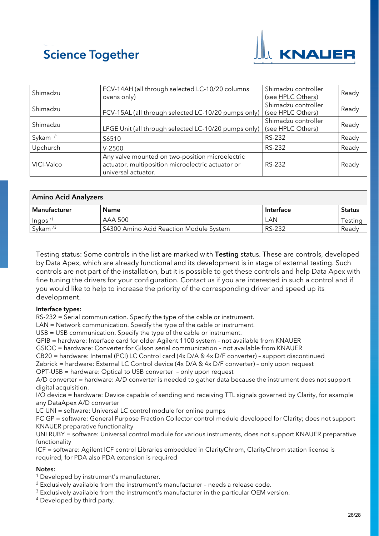

| Shimadzu            | FCV-14AH (all through selected LC-10/20 columns<br>ovens only)                                                              | Shimadzu controller<br>(see HPLC Others) | Ready |
|---------------------|-----------------------------------------------------------------------------------------------------------------------------|------------------------------------------|-------|
| Shimadzu            | FCV-15AL (all through selected LC-10/20 pumps only)                                                                         | Shimadzu controller<br>(see HPLC Others) | Ready |
| Shimadzu            | LPGE Unit (all through selected LC-10/20 pumps only)                                                                        | Shimadzu controller<br>(see HPLC Others) | Ready |
| Sykam <sup>/1</sup> | S6510                                                                                                                       | RS-232                                   | Ready |
| Upchurch            | $V-2500$                                                                                                                    | RS-232                                   | Ready |
| VICI-Valco          | Any valve mounted on two-position microelectric<br>actuator, multiposition microelectric actuator or<br>universal actuator. | RS-232                                   | Ready |

<span id="page-25-0"></span>

| <b>Amino Acid Analyzers</b> |                                         |           |               |
|-----------------------------|-----------------------------------------|-----------|---------------|
| Manufacturer                | <b>Name</b>                             | Interface | <b>Status</b> |
| $\ln$ gos <sup>/1</sup>     | AAA 500                                 | LAN       | Testina       |
| Sykam $/3$                  | S4300 Amino Acid Reaction Module System | RS-232    | Readv         |

Testing status: Some controls in the list are marked with Testing status. These are controls, developed by Data Apex, which are already functional and its development is in stage of external testing. Such controls are not part of the installation, but it is possible to get these controls and help Data Apex with fine tuning the drivers for your configuration. Contact us if you are interested in such a control and if you would like to help to increase the priority of the corresponding driver and speed up its development.

#### Interface types:

RS-232 = Serial communication. Specify the type of the cable or instrument.

LAN = Network communication. Specify the type of the cable or instrument.

USB = USB communication. Specify the type of the cable or instrument.

GPIB = hardware: Interface card for older Agilent 1100 system – not available from KNAUER

GSIOC = hardware: Converter for Gilson serial communication – not available from KNAUER

CB20 = hardware: Internal (PCI) LC Control card (4x D/A & 4x D/F converter) - support discontinued

Zebrick = hardware: External LC Control device (4x D/A & 4x D/F converter) – only upon request

OPT-USB = hardware: Optical to USB converter – only upon request

A/D converter = hardware: A/D converter is needed to gather data because the instrument does not support digital acquisition.

I/O device = hardware: Device capable of sending and receiving TTL signals governed by Clarity, for example any DataApex A/D converter

LC UNI = software: Universal LC control module for online pumps

FC GP = software: General Purpose Fraction Collector control module developed for Clarity; does not support KNAUER preparative functionality

UNI RUBY = software: Universal control module for various instruments, does not support KNAUER preparative functionality

ICF = software: Agilent ICF control Libraries embedded in ClarityChrom, ClarityChrom station license is required, for PDA also PDA extension is required

#### <span id="page-25-1"></span>Notes:

<sup>1</sup> Developed by instrument's manufacturer.

<sup>2</sup> Exclusively available from the instrument's manufacturer – needs a release code.

 $3$  Exclusively available from the instrument's manufacturer in the particular OEM version.

<sup>4</sup> Developed by third party.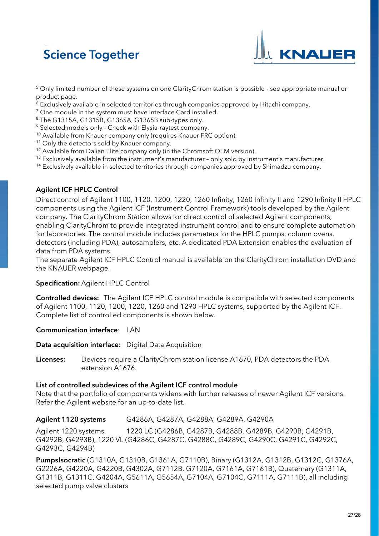

<sup>5</sup> Only limited number of these systems on one ClarityChrom station is possible - see appropriate manual or product page.

- $6$  Exclusively available in selected territories through companies approved by Hitachi company.
- $7$  One module in the system must have Interface Card installed.
- <sup>8</sup> The G1315A, G1315B, G1365A, G1365B sub-types only.
- <sup>9</sup> Selected models only Check with Elysia-raytest company.
- <sup>10</sup> Available from Knauer company only (requires Knauer FRC option).
- <sup>11</sup> Only the detectors sold by Knauer company.
- <sup>12</sup> Available from Dalian Elite company only (in the Chromsoft OEM version).
- <sup>13</sup> Exclusively available from the instrument's manufacturer only sold by instrument's manufacturer.
- <sup>14</sup> Exclusively available in selected territories through companies approved by Shimadzu company.

#### <span id="page-26-0"></span>Agilent ICF HPLC Control

Direct control of Agilent 1100, 1120, 1200, 1220, 1260 Infinity, 1260 Infinity II and 1290 Infinity II HPLC components using the Agilent ICF (Instrument Control Framework) tools developed by the Agilent company. The ClarityChrom Station allows for direct control of selected Agilent components, enabling ClarityChrom to provide integrated instrument control and to ensure complete automation for laboratories. The control module includes parameters for the HPLC pumps, column ovens, detectors (including PDA), autosamplers, etc. A dedicated PDA Extension enables the evaluation of data from PDA systems.

The separate Agilent ICF HPLC Control manual is available on the ClarityChrom installation DVD and the KNAUER webpage.

#### Specification: Agilent HPLC Control

Controlled devices: The Agilent ICF HPLC control module is compatible with selected components of Agilent 1100, 1120, 1200, 1220, 1260 and 1290 HPLC systems, supported by the Agilent ICF. Complete list of controlled components is shown below.

#### Communication interface: LAN

Data acquisition interface: Digital Data Acquisition

Licenses: Devices require a ClarityChrom station license A1670, PDA detectors the PDA extension A1676.

#### List of controlled subdevices of the Agilent ICF control module

Note that the portfolio of components widens with further releases of newer Agilent ICF versions. Refer the Agilent website for an up-to-date list.

#### Agilent 1120 systems G4286A, G4287A, G4288A, G4289A, G4290A

Agilent 1220 systems 1220 LC (G4286B, G4287B, G4288B, G4289B, G4290B, G4291B, G4292B, G4293B), 1220 VL (G4286C, G4287C, G4288C, G4289C, G4290C, G4291C, G4292C, G4293C, G4294B)

PumpsIsocratic (G1310A, G1310B, G1361A, G7110B), Binary (G1312A, G1312B, G1312C, G1376A, G2226A, G4220A, G4220B, G4302A, G7112B, G7120A, G7161A, G7161B), Quaternary (G1311A, G1311B, G1311C, G4204A, G5611A, G5654A, G7104A, G7104C, G7111A, G7111B), all including selected pump valve clusters